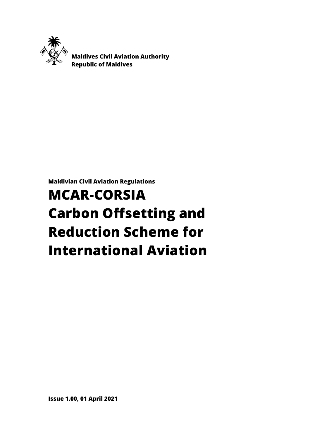

 **Maldives Civil Aviation Authority Republic of Maldives**

**Maldivian Civil Aviation Regulations**

# **MCAR-CORSIA Carbon Offsetting and Reduction Scheme for International Aviation**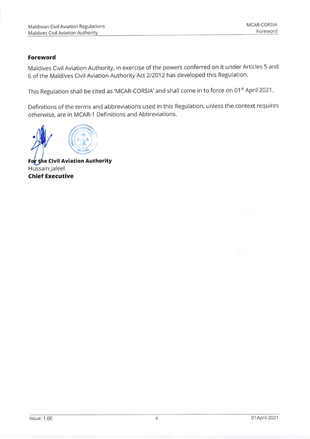#### Foreword

Maldives Civil Aviation Authority, in exercise of the powers conferred on it under Articles 5 and 6 of the Maldives Civil Aviation Authority Act 212012has developed this Regulation.

This Regulation shall be cited as 'MCAR-CORSIA' and shall come in to force on 01<sup>st</sup> April 2021.

Definitions of the terms and abbreviations used in this Regulation, unless the context requires otherwise, are in MCAR-1 Definitions and Abbreviations.

a c

For the Civil Aviation Authority Hussain Jaleel **Chief Executive**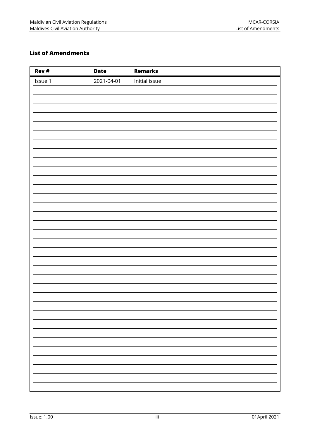# <span id="page-2-0"></span>**List of Amendments**

| Rev #   | <b>Date</b> | <b>Remarks</b> |
|---------|-------------|----------------|
| Issue 1 | 2021-04-01  | Initial issue  |
|         |             |                |
|         |             |                |
|         |             |                |
|         |             |                |
|         |             |                |
|         |             |                |
|         |             |                |
|         |             |                |
|         |             |                |
|         |             |                |
|         |             |                |
|         |             |                |
|         |             |                |
|         |             |                |
|         |             |                |
|         |             |                |
|         |             |                |
|         |             |                |
|         |             |                |
|         |             |                |
|         |             |                |
|         |             |                |
|         |             |                |
|         |             |                |
|         |             |                |
|         |             |                |
|         |             |                |
|         |             |                |
|         |             |                |
|         |             |                |
|         |             |                |
|         |             |                |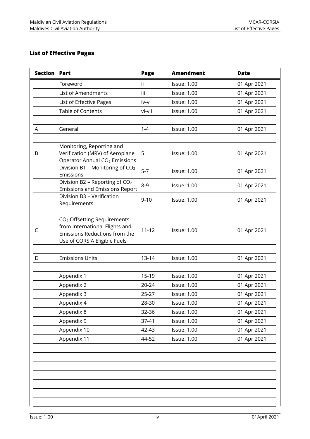# <span id="page-3-0"></span>**List of Effective Pages**

| Section | Part                                                                                                                                       | <b>Page</b>    | <b>Amendment</b>                         | <b>Date</b>                |
|---------|--------------------------------------------------------------------------------------------------------------------------------------------|----------------|------------------------------------------|----------------------------|
|         | Foreword                                                                                                                                   | ii.            | <b>Issue: 1.00</b>                       | 01 Apr 2021                |
|         | List of Amendments                                                                                                                         | iii            | <b>Issue: 1.00</b>                       | 01 Apr 2021                |
|         | List of Effective Pages                                                                                                                    | iv-v           | <b>Issue: 1.00</b>                       | 01 Apr 2021                |
|         | <b>Table of Contents</b>                                                                                                                   | vi-vii         | <b>Issue: 1.00</b>                       | 01 Apr 2021                |
| A       | General                                                                                                                                    | $1 - 4$        | <b>Issue: 1.00</b>                       | 01 Apr 2021                |
| B       | Monitoring, Reporting and<br>Verification (MRV) of Aeroplane<br>Operator Annual CO <sub>2</sub> Emissions                                  | 5              | <b>Issue: 1.00</b>                       | 01 Apr 2021                |
|         | Division B1 - Monitoring of CO <sub>2</sub><br>Emissions                                                                                   | $5 - 7$        | <b>Issue: 1.00</b>                       | 01 Apr 2021                |
|         | Division B2 - Reporting of CO <sub>2</sub><br><b>Emissions and Emissions Report</b>                                                        | $8 - 9$        | <b>Issue: 1.00</b>                       | 01 Apr 2021                |
|         | Division B3 - Verification<br>Requirements                                                                                                 | $9 - 10$       | <b>Issue: 1.00</b>                       | 01 Apr 2021                |
| C       | CO <sub>2</sub> Offsetting Requirements<br>from International Flights and<br>Emissions Reductions from the<br>Use of CORSIA Eligible Fuels | $11 - 12$      | <b>Issue: 1.00</b>                       | 01 Apr 2021                |
| D       | <b>Emissions Units</b>                                                                                                                     | $13 - 14$      | <b>Issue: 1.00</b>                       | 01 Apr 2021                |
|         | Appendix 1<br>Appendix 2                                                                                                                   | 15-19<br>20-24 | <b>Issue: 1.00</b><br><b>Issue: 1.00</b> | 01 Apr 2021<br>01 Apr 2021 |
|         | Appendix 3                                                                                                                                 | $25 - 27$      | <b>Issue: 1.00</b>                       | 01 Apr 2021                |
|         | Appendix 4                                                                                                                                 | 28-30          | <b>Issue: 1.00</b>                       | 01 Apr 2021                |
|         | Appendix 8                                                                                                                                 | 32-36          | <b>Issue: 1.00</b>                       | 01 Apr 2021                |
|         | Appendix 9                                                                                                                                 | 37-41          | <b>Issue: 1.00</b>                       | 01 Apr 2021                |
|         | Appendix 10                                                                                                                                | 42-43          | <b>Issue: 1.00</b>                       | 01 Apr 2021                |
|         | Appendix 11                                                                                                                                | 44-52          | <b>Issue: 1.00</b>                       | 01 Apr 2021                |
|         |                                                                                                                                            |                |                                          |                            |
|         |                                                                                                                                            |                |                                          |                            |
|         |                                                                                                                                            |                |                                          |                            |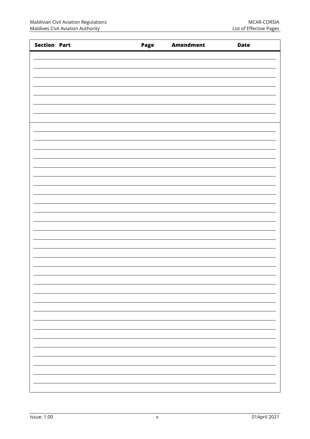| <b>Section Part</b> | Page | <b>Amendment</b> | <b>Date</b> |
|---------------------|------|------------------|-------------|
|                     |      |                  |             |
|                     |      |                  |             |
|                     |      |                  |             |
|                     |      |                  |             |
|                     |      |                  |             |
|                     |      |                  |             |
|                     |      |                  |             |
|                     |      |                  |             |
|                     |      |                  |             |
|                     |      |                  |             |
|                     |      |                  |             |
|                     |      |                  |             |
|                     |      |                  |             |
|                     |      |                  |             |
|                     |      |                  |             |
|                     |      |                  |             |
|                     |      |                  |             |
|                     |      |                  |             |
|                     |      |                  |             |
|                     |      |                  |             |
|                     |      |                  |             |
|                     |      |                  |             |
|                     |      |                  |             |
|                     |      |                  |             |
|                     |      |                  |             |
|                     |      |                  |             |
|                     |      |                  |             |
|                     |      |                  |             |
|                     |      |                  |             |
|                     |      |                  |             |
|                     |      |                  |             |
|                     |      |                  |             |
|                     |      |                  |             |
|                     |      |                  |             |
|                     |      |                  |             |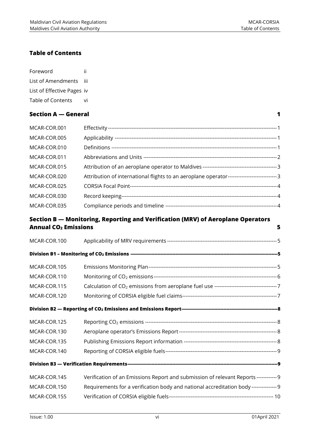#### <span id="page-5-0"></span>**Table of Contents**

| Foreword                   | Ħ     |
|----------------------------|-------|
| List of Amendments         | - 111 |
| List of Effective Pages iv |       |
| Table of Contents          | vi    |

#### **[Section A](#page-7-0) — General 1**

| MCAR-COR.001 |                                                                                              |  |
|--------------|----------------------------------------------------------------------------------------------|--|
| MCAR-COR.005 |                                                                                              |  |
| MCAR-COR.010 |                                                                                              |  |
| MCAR-COR.011 |                                                                                              |  |
| MCAR-COR.015 |                                                                                              |  |
| MCAR-COR.020 | Attribution of international flights to an aeroplane operator------------------------------3 |  |
| MCAR-COR.025 |                                                                                              |  |
| MCAR-COR.030 |                                                                                              |  |
| MCAR-COR.035 |                                                                                              |  |

#### **Section B — [Monitoring, Reporting and Verification \(MRV\) of Aeroplane Operators](#page-11-0)  [Annual CO](#page-11-0)<sup>2</sup> Emissions 5**

| MCAR-COR.100 |                                                                                        |  |  |
|--------------|----------------------------------------------------------------------------------------|--|--|
|              |                                                                                        |  |  |
| MCAR-COR.105 |                                                                                        |  |  |
| MCAR-COR.110 |                                                                                        |  |  |
| MCAR-COR.115 |                                                                                        |  |  |
| MCAR-COR.120 |                                                                                        |  |  |
|              |                                                                                        |  |  |
| MCAR-COR.125 |                                                                                        |  |  |
| MCAR-COR.130 |                                                                                        |  |  |
| MCAR-COR.135 |                                                                                        |  |  |
| MCAR-COR.140 |                                                                                        |  |  |
|              |                                                                                        |  |  |
| MCAR-COR.145 | Verification of an Emissions Report and submission of relevant Reports ------------ 9  |  |  |
| MCAR-COR.150 | Requirements for a verification body and national accreditation body --------------- 9 |  |  |
| MCAR-COR.155 |                                                                                        |  |  |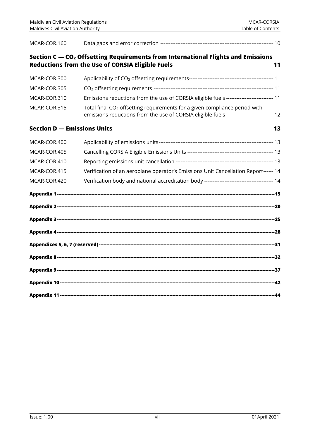| MCAR-COR.160                       |                                                                                                                                                                                     |    |
|------------------------------------|-------------------------------------------------------------------------------------------------------------------------------------------------------------------------------------|----|
|                                    | Section C - CO <sub>2</sub> Offsetting Requirements from International Flights and Emissions                                                                                        |    |
|                                    | <b>Reductions from the Use of CORSIA Eligible Fuels</b>                                                                                                                             | 11 |
| MCAR-COR.300                       |                                                                                                                                                                                     |    |
| MCAR-COR.305                       |                                                                                                                                                                                     |    |
| MCAR-COR.310                       | Emissions reductions from the use of CORSIA eligible fuels --------------------------- 11                                                                                           |    |
| MCAR-COR.315                       | Total final CO <sub>2</sub> offsetting requirements for a given compliance period with<br>emissions reductions from the use of CORSIA eligible fuels --------------------------- 12 |    |
| <b>Section D - Emissions Units</b> |                                                                                                                                                                                     | 13 |
| MCAR-COR.400                       |                                                                                                                                                                                     |    |
| MCAR-COR.405                       |                                                                                                                                                                                     |    |
| MCAR-COR.410                       |                                                                                                                                                                                     |    |
| MCAR-COR.415                       | Verification of an aeroplane operator's Emissions Unit Cancellation Report------ 14                                                                                                 |    |
| MCAR-COR.420                       |                                                                                                                                                                                     |    |
|                                    |                                                                                                                                                                                     |    |
|                                    |                                                                                                                                                                                     |    |
|                                    |                                                                                                                                                                                     |    |
|                                    |                                                                                                                                                                                     |    |
|                                    |                                                                                                                                                                                     |    |
|                                    |                                                                                                                                                                                     |    |
|                                    |                                                                                                                                                                                     |    |
|                                    |                                                                                                                                                                                     |    |
|                                    |                                                                                                                                                                                     |    |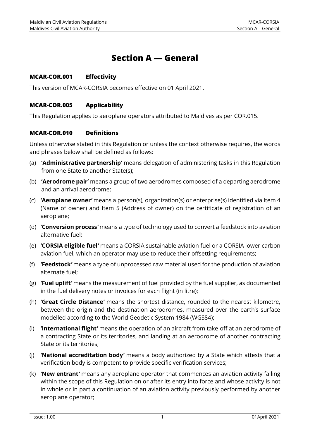# **Section A — General**

#### <span id="page-7-1"></span><span id="page-7-0"></span>**MCAR-COR.001 Effectivity**

<span id="page-7-2"></span>This version of MCAR-CORSIA becomes effective on 01 April 2021.

#### **MCAR-COR.005 Applicability**

This Regulation applies to aeroplane operators attributed to Maldives as per COR.015.

#### <span id="page-7-3"></span>**MCAR-COR.010 Definitions**

Unless otherwise stated in this Regulation or unless the context otherwise requires, the words and phrases below shall be defined as follows:

- (a) **'Administrative partnership'** means delegation of administering tasks in this Regulation from one State to another State(s);
- (b) **'Aerodrome pair'** means a group of two aerodromes composed of a departing aerodrome and an arrival aerodrome;
- (c) **'Aeroplane owner***'* means a person(s), organization(s) or enterprise(s) identified via Item 4 (Name of owner) and Item 5 (Address of owner) on the certificate of registration of an aeroplane;
- (d) **'Conversion process***'* means a type of technology used to convert a feedstock into aviation alternative fuel;
- (e) **'CORSIA eligible fuel***'* means a CORSIA sustainable aviation fuel or a CORSIA lower carbon aviation fuel, which an operator may use to reduce their offsetting requirements;
- (f) **'Feedstock***'* means a type of unprocessed raw material used for the production of aviation alternate fuel;
- (g) **'Fuel uplift***'* means the measurement of fuel provided by the fuel supplier, as documented in the fuel delivery notes or invoices for each flight (in litre);
- (h) **'Great Circle Distance***'* means the shortest distance, rounded to the nearest kilometre, between the origin and the destination aerodromes, measured over the earth's surface modelled according to the World Geodetic System 1984 (WGS84);
- (i) **'International flight***'* means the operation of an aircraft from take-off at an aerodrome of a contracting State or its territories, and landing at an aerodrome of another contracting State or its territories;
- (j) **'National accreditation body***'* means a body authorized by a State which attests that a verification body is competent to provide specific verification services;
- (k) **'New entrant***'* means any aeroplane operator that commences an aviation activity falling within the scope of this Regulation on or after its entry into force and whose activity is not in whole or in part a continuation of an aviation activity previously performed by another aeroplane operator;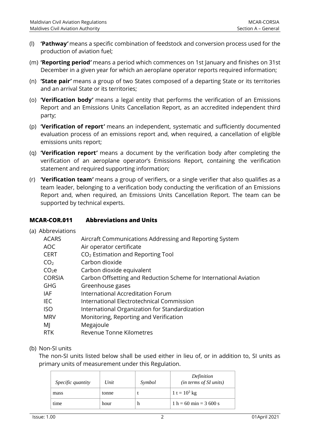- (l) **'Pathway***'* means a specific combination of feedstock and conversion process used for the production of aviation fuel;
- (m) **'Reporting period***'* means a period which commences on 1st January and finishes on 31st December in a given year for which an aeroplane operator reports required information;
- (n) **'State pair***'* means a group of two States composed of a departing State or its territories and an arrival State or its territories;
- (o) **'Verification body***'* means a legal entity that performs the verification of an Emissions Report and an Emissions Units Cancellation Report, as an accredited independent third party;
- (p) **'Verification of report***'* means an independent, systematic and sufficiently documented evaluation process of an emissions report and, when required, a cancellation of eligible emissions units report;
- (q) **'Verification report***'* means a document by the verification body after completing the verification of an aeroplane operator's Emissions Report, containing the verification statement and required supporting information;
- (r) **'Verification team***'* means a group of verifiers, or a single verifier that also qualifies as a team leader, belonging to a verification body conducting the verification of an Emissions Report and, when required, an Emissions Units Cancellation Report. The team can be supported by technical experts.

#### <span id="page-8-0"></span>**MCAR-COR.011 Abbreviations and Units**

(a) Abbreviations

| <b>ACARS</b>      | Aircraft Communications Addressing and Reporting System           |
|-------------------|-------------------------------------------------------------------|
| AOC               | Air operator certificate                                          |
| <b>CERT</b>       | CO <sub>2</sub> Estimation and Reporting Tool                     |
| CO <sub>2</sub>   | Carbon dioxide                                                    |
| CO <sub>2</sub> e | Carbon dioxide equivalent                                         |
| <b>CORSIA</b>     | Carbon Offsetting and Reduction Scheme for International Aviation |
| GHG               | Greenhouse gases                                                  |
| <b>IAF</b>        | International Accreditation Forum                                 |
| IEC               | International Electrotechnical Commission                         |
| <b>ISO</b>        | International Organization for Standardization                    |
| <b>MRV</b>        | Monitoring, Reporting and Verification                            |
| MJ                | Megajoule                                                         |
| <b>RTK</b>        | Revenue Tonne Kilometres                                          |

#### (b) Non-SI units

The non-SI units listed below shall be used either in lieu of, or in addition to, SI units as primary units of measurement under this Regulation.

| <i>Specific quantity</i> | Unit  | Symbol | Definition<br>(in terms of SI units) |
|--------------------------|-------|--------|--------------------------------------|
| mass                     | tonne |        | 1 t = $10^3$ kg                      |
| time                     | hour  | n      | $1 h = 60 min = 3600 s$              |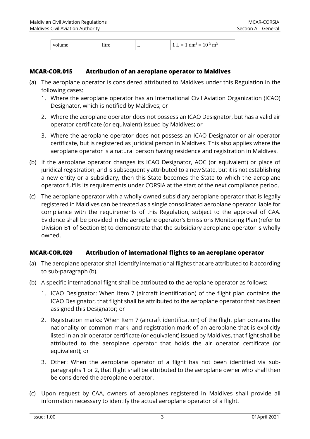| ume | ٠<br>11.<br> | $\sim$ $\sim$ $\sim$ $\sim$ $\sim$ | $\sim$<br>-<br>ш<br>-<br>T ATT<br>∼<br>$\overline{\phantom{a}}$<br>$\sim$ |
|-----|--------------|------------------------------------|---------------------------------------------------------------------------|

#### <span id="page-9-0"></span>**MCAR-COR.015 Attribution of an aeroplane operator to Maldives**

- (a) The aeroplane operator is considered attributed to Maldives under this Regulation in the following cases:
	- 1. Where the aeroplane operator has an International Civil Aviation Organization (ICAO) Designator, which is notified by Maldives; or
	- 2. Where the aeroplane operator does not possess an ICAO Designator, but has a valid air operator certificate (or equivalent) issued by Maldives; or
	- 3. Where the aeroplane operator does not possess an ICAO Designator or air operator certificate, but is registered as juridical person in Maldives. This also applies where the aeroplane operator is a natural person having residence and registration in Maldives.
- (b) If the aeroplane operator changes its ICAO Designator, AOC (or equivalent) or place of juridical registration, and is subsequently attributed to a new State, but it is not establishing a new entity or a subsidiary, then this State becomes the State to which the aeroplane operator fulfils its requirements under CORSIA at the start of the next compliance period.
- (c) The aeroplane operator with a wholly owned subsidiary aeroplane operator that is legally registered in Maldives can be treated as a single consolidated aeroplane operator liable for compliance with the requirements of this Regulation, subject to the approval of CAA. Evidence shall be provided in the aeroplane operator's Emissions Monitoring Plan (refer to Division B1 of Section B) to demonstrate that the subsidiary aeroplane operator is wholly owned.

#### <span id="page-9-1"></span>**MCAR-COR.020 Attribution of international flights to an aeroplane operator**

- (a) The aeroplane operator shall identify international flights that are attributed to it according to sub-paragraph (b).
- (b) A specific international flight shall be attributed to the aeroplane operator as follows:
	- 1. ICAO Designator: When Item 7 (aircraft identification) of the flight plan contains the ICAO Designator, that flight shall be attributed to the aeroplane operator that has been assigned this Designator; or
	- 2. Registration marks: When Item 7 (aircraft identification) of the flight plan contains the nationality or common mark, and registration mark of an aeroplane that is explicitly listed in an air operator certificate (or equivalent) issued by Maldives, that flight shall be attributed to the aeroplane operator that holds the air operator certificate (or equivalent); or
	- 3. Other: When the aeroplane operator of a flight has not been identified via subparagraphs 1 or 2, that flight shall be attributed to the aeroplane owner who shall then be considered the aeroplane operator.
- (c) Upon request by CAA, owners of aeroplanes registered in Maldives shall provide all information necessary to identify the actual aeroplane operator of a flight.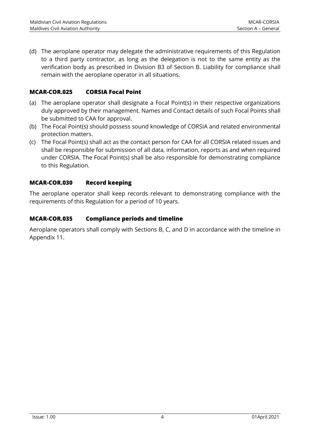(d) The aeroplane operator may delegate the administrative requirements of this Regulation to a third party contractor, as long as the delegation is not to the same entity as the verification body as prescribed in Division B3 of Section B. Liability for compliance shall remain with the aeroplane operator in all situations.

# <span id="page-10-0"></span>**MCAR-COR.025 CORSIA Focal Point**

- (a) The aeroplane operator shall designate a Focal Point(s) in their respective organizations duly approved by their management. Names and Contact details of such Focal Points shall be submitted to CAA for approval.
- (b) The Focal Point(s) should possess sound knowledge of CORSIA and related environmental protection matters.
- (c) The Focal Point(s) shall act as the contact person for CAA for all CORSIA related issues and shall be responsible for submission of all data, information, reports as and when required under CORSIA. The Focal Point(s) shall be also responsible for demonstrating compliance to this Regulation.

# <span id="page-10-1"></span>**MCAR-COR.030 Record keeping**

The aeroplane operator shall keep records relevant to demonstrating compliance with the requirements of this Regulation for a period of 10 years.

#### <span id="page-10-2"></span>**MCAR-COR.035 Compliance periods and timeline**

Aeroplane operators shall comply with Sections B, C, and D in accordance with the timeline in Appendix 11.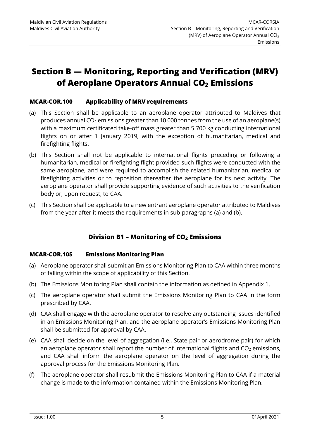# <span id="page-11-0"></span>**Section B — Monitoring, Reporting and Verification (MRV) of Aeroplane Operators Annual CO<sup>2</sup> Emissions**

#### <span id="page-11-1"></span>**MCAR-COR.100 Applicability of MRV requirements**

- (a) This Section shall be applicable to an aeroplane operator attributed to Maldives that produces annual  $CO<sub>2</sub>$  emissions greater than 10 000 tonnes from the use of an aeroplane(s) with a maximum certificated take-off mass greater than 5 700 kg conducting international flights on or after 1 January 2019, with the exception of humanitarian, medical and firefighting flights.
- (b) This Section shall not be applicable to international flights preceding or following a humanitarian, medical or firefighting flight provided such flights were conducted with the same aeroplane, and were required to accomplish the related humanitarian, medical or firefighting activities or to reposition thereafter the aeroplane for its next activity. The aeroplane operator shall provide supporting evidence of such activities to the verification body or, upon request, to CAA.
- (c) This Section shall be applicable to a new entrant aeroplane operator attributed to Maldives from the year after it meets the requirements in sub-paragraphs (a) and (b).

# **Division B1 – Monitoring of CO<sup>2</sup> Emissions**

#### <span id="page-11-3"></span><span id="page-11-2"></span>**MCAR-COR.105 Emissions Monitoring Plan**

- (a) Aeroplane operator shall submit an Emissions Monitoring Plan to CAA within three months of falling within the scope of applicability of this Section.
- (b) The Emissions Monitoring Plan shall contain the information as defined in Appendix 1.
- (c) The aeroplane operator shall submit the Emissions Monitoring Plan to CAA in the form prescribed by CAA.
- (d) CAA shall engage with the aeroplane operator to resolve any outstanding issues identified in an Emissions Monitoring Plan, and the aeroplane operator's Emissions Monitoring Plan shall be submitted for approval by CAA.
- (e) CAA shall decide on the level of aggregation (i.e., State pair or aerodrome pair) for which an aeroplane operator shall report the number of international flights and  $CO<sub>2</sub>$  emissions, and CAA shall inform the aeroplane operator on the level of aggregation during the approval process for the Emissions Monitoring Plan.
- (f) The aeroplane operator shall resubmit the Emissions Monitoring Plan to CAA if a material change is made to the information contained within the Emissions Monitoring Plan.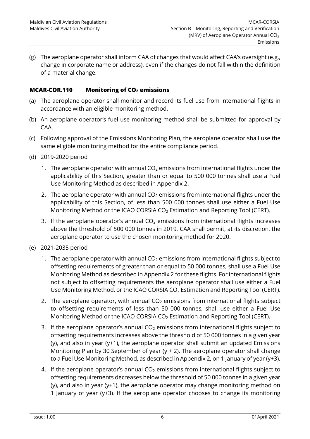(g) The aeroplane operator shall inform CAA of changes that would affect CAA's oversight (e.g., change in corporate name or address), even if the changes do not fall within the definition of a material change.

#### <span id="page-12-0"></span>**MCAR-COR.110 Monitoring of CO<sup>2</sup> emissions**

- (a) The aeroplane operator shall monitor and record its fuel use from international flights in accordance with an eligible monitoring method.
- (b) An aeroplane operator's fuel use monitoring method shall be submitted for approval by CAA.
- (c) Following approval of the Emissions Monitoring Plan, the aeroplane operator shall use the same eligible monitoring method for the entire compliance period.
- (d) 2019-2020 period
	- 1. The aeroplane operator with annual  $CO<sub>2</sub>$  emissions from international flights under the applicability of this Section, greater than or equal to 500 000 tonnes shall use a Fuel Use Monitoring Method as described in Appendix 2.
	- 2. The aeroplane operator with annual  $CO<sub>2</sub>$  emissions from international flights under the applicability of this Section, of less than 500 000 tonnes shall use either a Fuel Use Monitoring Method or the ICAO CORSIA CO<sup>2</sup> Estimation and Reporting Tool (CERT).
	- 3. If the aeroplane operator's annual  $CO<sub>2</sub>$  emissions from international flights increases above the threshold of 500 000 tonnes in 2019, CAA shall permit, at its discretion, the aeroplane operator to use the chosen monitoring method for 2020.
- (e) 2021-2035 period
	- 1. The aeroplane operator with annual  $CO<sub>2</sub>$  emissions from international flights subject to offsetting requirements of greater than or equal to 50 000 tonnes, shall use a Fuel Use Monitoring Method as described in Appendix 2 for these flights. For international flights not subject to offsetting requirements the aeroplane operator shall use either a Fuel Use Monitoring Method, or the ICAO CORSIA CO<sub>2</sub> Estimation and Reporting Tool (CERT).
	- 2. The aeroplane operator, with annual  $CO<sub>2</sub>$  emissions from international flights subject to offsetting requirements of less than 50 000 tonnes, shall use either a Fuel Use Monitoring Method or the ICAO CORSIA CO<sup>2</sup> Estimation and Reporting Tool (CERT).
	- 3. If the aeroplane operator's annual  $CO<sub>2</sub>$  emissions from international flights subject to offsetting requirements increases above the threshold of 50 000 tonnes in a given year (y), and also in year (y+1), the aeroplane operator shall submit an updated Emissions Monitoring Plan by 30 September of year (y  $+$  2). The aeroplane operator shall change to a Fuel Use Monitoring Method, as described in Appendix 2, on 1 January of year (y+3).
	- 4. If the aeroplane operator's annual  $CO<sub>2</sub>$  emissions from international flights subject to offsetting requirements decreases below the threshold of 50 000 tonnes in a given year (y), and also in year (y+1), the aeroplane operator may change monitoring method on 1 January of year (y+3). If the aeroplane operator chooses to change its monitoring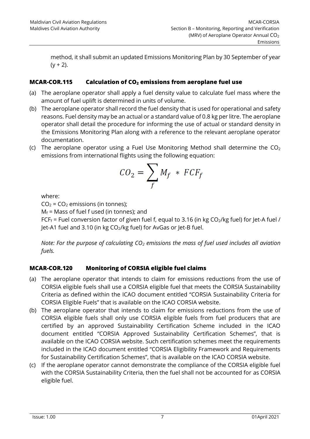method, it shall submit an updated Emissions Monitoring Plan by 30 September of year  $(y + 2)$ .

## <span id="page-13-0"></span>**MCAR-COR.115 Calculation of CO<sup>2</sup> emissions from aeroplane fuel use**

- (a) The aeroplane operator shall apply a fuel density value to calculate fuel mass where the amount of fuel uplift is determined in units of volume.
- (b) The aeroplane operator shall record the fuel density that is used for operational and safety reasons. Fuel density may be an actual or a standard value of 0.8 kg per litre. The aeroplane operator shall detail the procedure for informing the use of actual or standard density in the Emissions Monitoring Plan along with a reference to the relevant aeroplane operator documentation.
- (c) The aeroplane operator using a Fuel Use Monitoring Method shall determine the  $CO<sub>2</sub>$ emissions from international flights using the following equation:

$$
CO_2 = \sum_f M_f * FCF_f
$$

where:

 $CO<sub>2</sub> = CO<sub>2</sub>$  emissions (in tonnes);

 $M_f$  = Mass of fuel f used (in tonnes); and

FCF<sub>f</sub> = Fuel conversion factor of given fuel f, equal to 3.16 (in kg CO<sub>2</sub>/kg fuel) for Jet-A fuel / Jet-A1 fuel and 3.10 (in kg CO<sub>2</sub>/kg fuel) for AvGas or Jet-B fuel.

*Note: For the purpose of calculating CO<sup>2</sup> emissions the mass of fuel used includes all aviation fuels.*

# <span id="page-13-1"></span>**MCAR-COR.120 Monitoring of CORSIA eligible fuel claims**

- (a) The aeroplane operator that intends to claim for emissions reductions from the use of CORSIA eligible fuels shall use a CORSIA eligible fuel that meets the CORSIA Sustainability Criteria as defined within the ICAO document entitled "CORSIA Sustainability Criteria for CORSIA Eligible Fuels" that is available on the ICAO CORSIA website.
- (b) The aeroplane operator that intends to claim for emissions reductions from the use of CORSIA eligible fuels shall only use CORSIA eligible fuels from fuel producers that are certified by an approved Sustainability Certification Scheme included in the ICAO document entitled "CORSIA Approved Sustainability Certification Schemes", that is available on the ICAO CORSIA website. Such certification schemes meet the requirements included in the ICAO document entitled "CORSIA Eligibility Framework and Requirements for Sustainability Certification Schemes", that is available on the ICAO CORSIA website.
- (c) If the aeroplane operator cannot demonstrate the compliance of the CORSIA eligible fuel with the CORSIA Sustainability Criteria, then the fuel shall not be accounted for as CORSIA eligible fuel.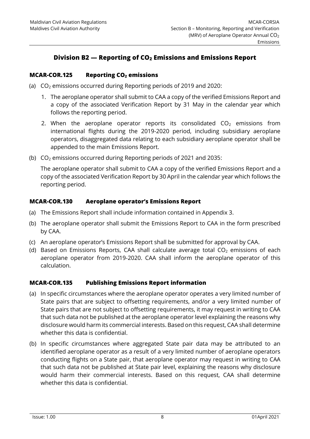# **Division B2 — Reporting of CO<sup>2</sup> Emissions and Emissions Report**

#### <span id="page-14-1"></span><span id="page-14-0"></span>**MCAR-COR.125 Reporting CO<sup>2</sup> emissions**

- (a)  $CO<sub>2</sub>$  emissions occurred during Reporting periods of 2019 and 2020:
	- 1. The aeroplane operator shall submit to CAA a copy of the verified Emissions Report and a copy of the associated Verification Report by 31 May in the calendar year which follows the reporting period.
	- 2. When the aeroplane operator reports its consolidated  $CO<sub>2</sub>$  emissions from international flights during the 2019-2020 period, including subsidiary aeroplane operators, disaggregated data relating to each subsidiary aeroplane operator shall be appended to the main Emissions Report.
- (b)  $CO<sub>2</sub>$  emissions occurred during Reporting periods of 2021 and 2035:

The aeroplane operator shall submit to CAA a copy of the verified Emissions Report and a copy of the associated Verification Report by 30 April in the calendar year which follows the reporting period.

#### <span id="page-14-2"></span>**MCAR-COR.130 Aeroplane operator's Emissions Report**

- (a) The Emissions Report shall include information contained in Appendix 3.
- (b) The aeroplane operator shall submit the Emissions Report to CAA in the form prescribed by CAA.
- (c) An aeroplane operator's Emissions Report shall be submitted for approval by CAA.
- (d) Based on Emissions Reports, CAA shall calculate average total  $CO<sub>2</sub>$  emissions of each aeroplane operator from 2019-2020. CAA shall inform the aeroplane operator of this calculation.

#### <span id="page-14-3"></span>**MCAR-COR.135 Publishing Emissions Report information**

- (a) In specific circumstances where the aeroplane operator operates a very limited number of State pairs that are subject to offsetting requirements, and/or a very limited number of State pairs that are not subject to offsetting requirements, it may request in writing to CAA that such data not be published at the aeroplane operator level explaining the reasons why disclosure would harm its commercial interests. Based on this request, CAA shall determine whether this data is confidential.
- (b) In specific circumstances where aggregated State pair data may be attributed to an identified aeroplane operator as a result of a very limited number of aeroplane operators conducting flights on a State pair, that aeroplane operator may request in writing to CAA that such data not be published at State pair level, explaining the reasons why disclosure would harm their commercial interests. Based on this request, CAA shall determine whether this data is confidential.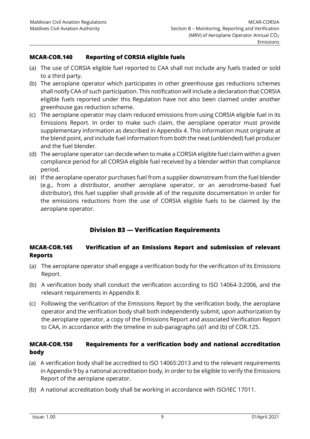#### <span id="page-15-0"></span>**MCAR-COR.140 Reporting of CORSIA eligible fuels**

- (a) The use of CORSIA eligible fuel reported to CAA shall not include any fuels traded or sold to a third party.
- (b) The aeroplane operator which participates in other greenhouse gas reductions schemes shall notify CAA of such participation. This notification will include a declaration that CORSIA eligible fuels reported under this Regulation have not also been claimed under another greenhouse gas reduction scheme.
- (c) The aeroplane operator may claim reduced emissions from using CORSIA eligible fuel in its Emissions Report. In order to make such claim, the aeroplane operator must provide supplementary information as described in Appendix 4. This information must originate at the blend point, and include fuel information from both the neat (unblended) fuel producer and the fuel blender.
- (d) The aeroplane operator can decide when to make a CORSIA eligible fuel claim within a given compliance period for all CORSIA eligible fuel received by a blender within that compliance period.
- (e) If the aeroplane operator purchases fuel from a supplier downstream from the fuel blender (e.g., from a distributor, another aeroplane operator, or an aerodrome-based fuel distributor), this fuel supplier shall provide all of the requisite documentation in order for the emissions reductions from the use of CORSIA eligible fuels to be claimed by the aeroplane operator.

# **Division B3 — Verification Requirements**

#### <span id="page-15-2"></span><span id="page-15-1"></span>**MCAR-COR.145 Verification of an Emissions Report and submission of relevant Reports**

- (a) The aeroplane operator shall engage a verification body for the verification of its Emissions Report.
- (b) A verification body shall conduct the verification according to ISO 14064-3:2006, and the relevant requirements in Appendix 8.
- (c) Following the verification of the Emissions Report by the verification body, the aeroplane operator and the verification body shall both independently submit, upon authorization by the aeroplane operator, a copy of the Emissions Report and associated Verification Report to CAA, in accordance with the timeline in sub-paragraphs (a)1 and (b) of COR.125.

#### <span id="page-15-3"></span>**MCAR-COR.150 Requirements for a verification body and national accreditation body**

- (a) A verification body shall be accredited to ISO 14065:2013 and to the relevant requirements in Appendix 9 by a national accreditation body, in order to be eligible to verify the Emissions Report of the aeroplane operator.
- (b) A national accreditation body shall be working in accordance with ISO/IEC 17011.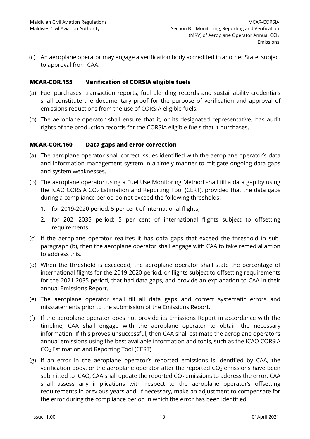(c) An aeroplane operator may engage a verification body accredited in another State, subject to approval from CAA.

#### <span id="page-16-0"></span>**MCAR-COR.155 Verification of CORSIA eligible fuels**

- (a) Fuel purchases, transaction reports, fuel blending records and sustainability credentials shall constitute the documentary proof for the purpose of verification and approval of emissions reductions from the use of CORSIA eligible fuels.
- (b) The aeroplane operator shall ensure that it, or its designated representative, has audit rights of the production records for the CORSIA eligible fuels that it purchases.

#### <span id="page-16-1"></span>**MCAR-COR.160 Data gaps and error correction**

- (a) The aeroplane operator shall correct issues identified with the aeroplane operator's data and information management system in a timely manner to mitigate ongoing data gaps and system weaknesses.
- (b) The aeroplane operator using a Fuel Use Monitoring Method shall fill a data gap by using the ICAO CORSIA  $CO<sub>2</sub>$  Estimation and Reporting Tool (CERT), provided that the data gaps during a compliance period do not exceed the following thresholds:
	- 1. for 2019-2020 period: 5 per cent of international flights;
	- 2. for 2021-2035 period: 5 per cent of international flights subject to offsetting requirements.
- (c) If the aeroplane operator realizes it has data gaps that exceed the threshold in subparagraph (b), then the aeroplane operator shall engage with CAA to take remedial action to address this.
- (d) When the threshold is exceeded, the aeroplane operator shall state the percentage of international flights for the 2019-2020 period, or flights subject to offsetting requirements for the 2021-2035 period, that had data gaps, and provide an explanation to CAA in their annual Emissions Report.
- (e) The aeroplane operator shall fill all data gaps and correct systematic errors and misstatements prior to the submission of the Emissions Report.
- (f) If the aeroplane operator does not provide its Emissions Report in accordance with the timeline, CAA shall engage with the aeroplane operator to obtain the necessary information. If this proves unsuccessful, then CAA shall estimate the aeroplane operator's annual emissions using the best available information and tools, such as the ICAO CORSIA CO<sup>2</sup> Estimation and Reporting Tool (CERT).
- (g) If an error in the aeroplane operator's reported emissions is identified by CAA, the verification body, or the aeroplane operator after the reported  $CO<sub>2</sub>$  emissions have been submitted to ICAO, CAA shall update the reported  $CO<sub>2</sub>$  emissions to address the error. CAA shall assess any implications with respect to the aeroplane operator's offsetting requirements in previous years and, if necessary, make an adjustment to compensate for the error during the compliance period in which the error has been identified.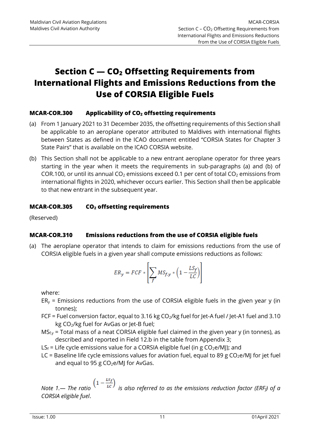# <span id="page-17-0"></span>**Section C — CO<sup>2</sup> Offsetting Requirements from International Flights and Emissions Reductions from the Use of CORSIA Eligible Fuels**

#### <span id="page-17-1"></span>**MCAR-COR.300 Applicability of CO<sup>2</sup> offsetting requirements**

- (a) From 1 January 2021 to 31 December 2035, the offsetting requirements of this Section shall be applicable to an aeroplane operator attributed to Maldives with international flights between States as defined in the ICAO document entitled "CORSIA States for Chapter 3 State Pairs" that is available on the ICAO CORSIA website.
- (b) This Section shall not be applicable to a new entrant aeroplane operator for three years starting in the year when it meets the requirements in sub-paragraphs (a) and (b) of COR.100, or until its annual CO<sub>2</sub> emissions exceed 0.1 per cent of total CO<sub>2</sub> emissions from international flights in 2020, whichever occurs earlier. This Section shall then be applicable to that new entrant in the subsequent year.

#### <span id="page-17-2"></span>**MCAR-COR.305 CO<sup>2</sup> offsetting requirements**

<span id="page-17-3"></span>(Reserved)

# **MCAR-COR.310 Emissions reductions from the use of CORSIA eligible fuels**

(a) The aeroplane operator that intends to claim for emissions reductions from the use of CORSIA eligible fuels in a given year shall compute emissions reductions as follows:

$$
ER_{y} = FCF * \left[\sum_{f} MS_{f,y} * \left(1 - \frac{LS_{f}}{LC}\right)\right]
$$

where:

- $ER<sub>y</sub>$  = Emissions reductions from the use of CORSIA eligible fuels in the given year y (in tonnes);
- FCF = Fuel conversion factor, equal to 3.16 kg  $CO<sub>2</sub>/kg$  fuel for Jet-A fuel / Jet-A1 fuel and 3.10 kg CO2/kg fuel for AvGas or Jet-B fuel;
- $MS_{f,y}$  = Total mass of a neat CORSIA eligible fuel claimed in the given year y (in tonnes), as described and reported in Field 12.b in the table from Appendix 3;
- $LS_f =$  Life cycle emissions value for a CORSIA eligible fuel (in g CO<sub>2</sub>e/MJ); and
- LC = Baseline life cycle emissions values for aviation fuel, equal to 89 g CO<sub>2</sub>e/MJ for jet fuel and equal to 95 g  $CO<sub>2</sub>e/M$ ] for AvGas.

*Note 1.*— *The ratio*  $\left(1 - \frac{m}{LC}\right)$  is also referred to as the emissions reduction factor (ERF<sub>f</sub>) of a *CORSIA eligible fuel*.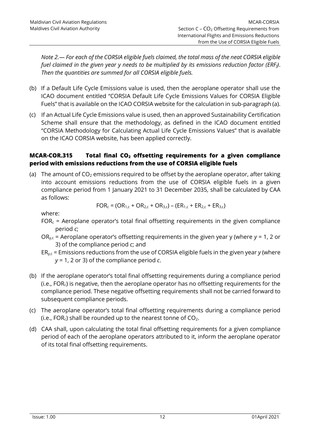*Note 2.— For each of the CORSIA eligible fuels claimed, the total mass of the neat CORSIA eligible fuel claimed in the given year y needs to be multiplied by its emissions reduction factor (ERFf)*. *Then the quantities are summed for all CORSIA eligible fuels.*

- (b) If a Default Life Cycle Emissions value is used, then the aeroplane operator shall use the ICAO document entitled "CORSIA Default Life Cycle Emissions Values for CORSIA Eligible Fuels" that is available on the ICAO CORSIA website for the calculation in sub-paragraph (a).
- (c) If an Actual Life Cycle Emissions value is used, then an approved Sustainability Certification Scheme shall ensure that the methodology, as defined in the ICAO document entitled "CORSIA Methodology for Calculating Actual Life Cycle Emissions Values" that is available on the ICAO CORSIA website, has been applied correctly.

#### <span id="page-18-0"></span>**MCAR-COR.315 Total final CO<sup>2</sup> offsetting requirements for a given compliance period with emissions reductions from the use of CORSIA eligible fuels**

(a) The amount of  $CO<sub>2</sub>$  emissions required to be offset by the aeroplane operator, after taking into account emissions reductions from the use of CORSIA eligible fuels in a given compliance period from 1 January 2021 to 31 December 2035, shall be calculated by CAA as follows:

$$
FOR_c = (OR_{1,c} + OR_{2,c} + OR_{3,c}) - (ER_{1,c} + ER_{2,c} + ER_{3,c})
$$

where:

- $FOR<sub>c</sub>$  = Aeroplane operator's total final offsetting requirements in the given compliance period *c*;
- ORy,c = Aeroplane operator's offsetting requirements in the given year y (where *y* = 1, 2 or 3) of the compliance period *c*; and
- ERy,c = Emissions reductions from the use of CORSIA eligible fuels in the given year *y* (where *y* = 1, 2 or 3) of the compliance period *c*.
- (b) If the aeroplane operator's total final offsetting requirements during a compliance period (i.e., FORc) is negative, then the aeroplane operator has no offsetting requirements for the compliance period. These negative offsetting requirements shall not be carried forward to subsequent compliance periods.
- (c) The aeroplane operator's total final offsetting requirements during a compliance period (i.e., FOR $<sub>c</sub>$ ) shall be rounded up to the nearest tonne of CO<sub>2</sub>.</sub>
- (d) CAA shall, upon calculating the total final offsetting requirements for a given compliance period of each of the aeroplane operators attributed to it, inform the aeroplane operator of its total final offsetting requirements.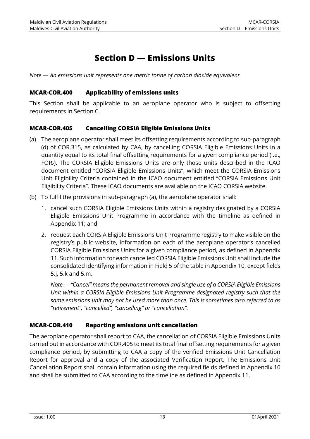# **Section D — Emissions Units**

<span id="page-19-1"></span><span id="page-19-0"></span>*Note.— An emissions unit represents one metric tonne of carbon dioxide equivalent.*

#### **MCAR-COR.400 Applicability of emissions units**

This Section shall be applicable to an aeroplane operator who is subject to offsetting requirements in Section C.

#### <span id="page-19-2"></span>**MCAR-COR.405 Cancelling CORSIA Eligible Emissions Units**

- (a) The aeroplane operator shall meet its offsetting requirements according to sub-paragraph (d) of COR.315, as calculated by CAA, by cancelling CORSIA Eligible Emissions Units in a quantity equal to its total final offsetting requirements for a given compliance period (i.e., FORc). The CORSIA Eligible Emissions Units are only those units described in the ICAO document entitled "CORSIA Eligible Emissions Units", which meet the CORSIA Emissions Unit Eligibility Criteria contained in the ICAO document entitled "CORSIA Emissions Unit Eligibility Criteria". These ICAO documents are available on the ICAO CORSIA website.
- (b) To fulfil the provisions in sub-paragraph (a), the aeroplane operator shall:
	- 1. cancel such CORSIA Eligible Emissions Units within a registry designated by a CORSIA Eligible Emissions Unit Programme in accordance with the timeline as defined in Appendix 11; and
	- 2. request each CORSIA Eligible Emissions Unit Programme registry to make visible on the registry's public website, information on each of the aeroplane operator's cancelled CORSIA Eligible Emissions Units for a given compliance period, as defined in Appendix 11. Such information for each cancelled CORSIA Eligible Emissions Unit shall include the consolidated identifying information in Field 5 of the table in Appendix 10, except fields 5.j, 5.k and 5.m.

*Note.— "Cancel" means the permanent removal and single use of a CORSIA Eligible Emissions Unit within a CORSIA Eligible Emissions Unit Programme designated registry such that the same emissions unit may not be used more than once. This is sometimes also referred to as "retirement", "cancelled", "cancelling" or "cancellation".*

# <span id="page-19-3"></span>**MCAR-COR.410 Reporting emissions unit cancellation**

The aeroplane operator shall report to CAA, the cancellation of CORSIA Eligible Emissions Units carried out in accordance with COR.405 to meet its total final offsetting requirements for a given compliance period, by submitting to CAA a copy of the verified Emissions Unit Cancellation Report for approval and a copy of the associated Verification Report. The Emissions Unit Cancellation Report shall contain information using the required fields defined in Appendix 10 and shall be submitted to CAA according to the timeline as defined in Appendix 11.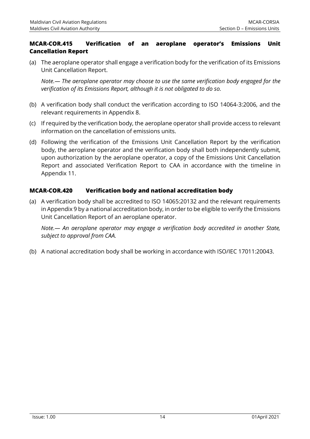#### <span id="page-20-0"></span>**MCAR-COR.415 Verification of an aeroplane operator's Emissions Unit Cancellation Report**

(a) The aeroplane operator shall engage a verification body for the verification of its Emissions Unit Cancellation Report.

*Note.— The aeroplane operator may choose to use the same verification body engaged for the verification of its Emissions Report, although it is not obligated to do so.*

- (b) A verification body shall conduct the verification according to ISO 14064-3:2006, and the relevant requirements in Appendix 8.
- (c) If required by the verification body, the aeroplane operator shall provide access to relevant information on the cancellation of emissions units.
- (d) Following the verification of the Emissions Unit Cancellation Report by the verification body, the aeroplane operator and the verification body shall both independently submit, upon authorization by the aeroplane operator, a copy of the Emissions Unit Cancellation Report and associated Verification Report to CAA in accordance with the timeline in Appendix 11.

#### <span id="page-20-1"></span>**MCAR-COR.420 Verification body and national accreditation body**

(a) A verification body shall be accredited to ISO 14065:20132 and the relevant requirements in Appendix 9 by a national accreditation body, in order to be eligible to verify the Emissions Unit Cancellation Report of an aeroplane operator.

*Note.— An aeroplane operator may engage a verification body accredited in another State, subject to approval from CAA.*

(b) A national accreditation body shall be working in accordance with ISO/IEC 17011:20043.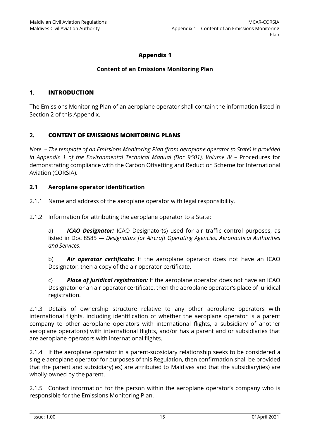# **Appendix 1**

#### **Content of an Emissions Monitoring Plan**

#### <span id="page-21-0"></span>**1. INTRODUCTION**

The Emissions Monitoring Plan of an aeroplane operator shall contain the information listed in Section 2 of this Appendix.

#### **2. CONTENT OF EMISSIONS MONITORING PLANS**

*Note. – The template of an Emissions Monitoring Plan (from aeroplane operator to State) is provided in Appendix 1 of the Environmental Technical Manual (Doc 9501), Volume IV - Procedures for* demonstrating compliance with the Carbon Offsetting and Reduction Scheme for International Aviation (CORSIA).

#### **2.1 Aeroplane operator identification**

2.1.1 Name and address of the aeroplane operator with legal responsibility.

2.1.2 Information for attributing the aeroplane operator to a State:

a) *ICAO Designator:* ICAO Designator(s) used for air traffic control purposes, as listed in Doc 8585 *— Designators for Aircraft Operating Agencies, Aeronautical Authorities and Services*.

b) *Air operator certificate:* If the aeroplane operator does not have an ICAO Designator, then a copy of the air operator certificate.

c) *Place of juridical registration:* If the aeroplane operator does not have an ICAO Designator or an air operator certificate, then the aeroplane operator's place of juridical registration.

2.1.3 Details of ownership structure relative to any other aeroplane operators with international flights, including identification of whether the aeroplane operator is a parent company to other aeroplane operators with international flights, a subsidiary of another aeroplane operator(s) with international flights, and/or has a parent and or subsidiaries that are aeroplane operators with international flights.

2.1.4 If the aeroplane operator in a parent-subsidiary relationship seeks to be considered a single aeroplane operator for purposes of this Regulation, then confirmation shall be provided that the parent and subsidiary(ies) are attributed to Maldives and that the subsidiary(ies) are wholly-owned by the parent.

2.1.5 Contact information for the person within the aeroplane operator's company who is responsible for the Emissions Monitoring Plan.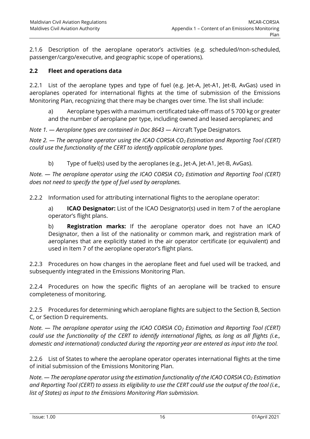2.1.6 Description of the aeroplane operator's activities (e.g. scheduled/non-scheduled, passenger/cargo/executive, and geographic scope of operations).

#### **2.2 Fleet and operations data**

2.2.1 List of the aeroplane types and type of fuel (e.g. Jet-A, Jet-A1, Jet-B, AvGas) used in aeroplanes operated for international flights at the time of submission of the Emissions Monitoring Plan, recognizing that there may be changes over time. The list shall include:

a) Aeroplane types with a maximum certificated take-off mass of 5 700 kg or greater and the number of aeroplane per type, including owned and leased aeroplanes; and

*Note 1. — Aeroplane types are contained in Doc 8643 —* Aircraft Type Designators*.*

*Note 2. — The aeroplane operator using the ICAO CORSIA CO2 Estimation and Reporting Tool (CERT) could use the functionality of the CERT to identify applicable aeroplane types.*

b) Type of fuel(s) used by the aeroplanes (e.g., Jet-A, Jet-A1, Jet-B, AvGas).

*Note. — The aeroplane operator using the ICAO CORSIA CO<sup>2</sup> Estimation and Reporting Tool (CERT) does not need to specify the type of fuel used by aeroplanes.*

2.2.2 Information used for attributing international flights to the aeroplane operator:

a) **ICAO Designator:** List of the ICAO Designator(s) used in Item 7 of the aeroplane operator's flight plans.

b) **Registration marks:** If the aeroplane operator does not have an ICAO Designator, then a list of the nationality or common mark, and registration mark of aeroplanes that are explicitly stated in the air operator certificate (or equivalent) and used in Item 7 of the aeroplane operator's flight plans.

2.2.3 Procedures on how changes in the aeroplane fleet and fuel used will be tracked, and subsequently integrated in the Emissions Monitoring Plan.

2.2.4 Procedures on how the specific flights of an aeroplane will be tracked to ensure completeness of monitoring.

2.2.5 Procedures for determining which aeroplane flights are subject to the Section B, Section C, or Section D requirements.

*Note. — The aeroplane operator using the ICAO CORSIA CO<sup>2</sup> Estimation and Reporting Tool (CERT) could use the functionality of the CERT to identify international flights, as long as all flights (i.e., domestic and international) conducted during the reporting year are entered as input into the tool.*

2.2.6 List of States to where the aeroplane operator operates international flights at the time of initial submission of the Emissions Monitoring Plan.

*Note. — The aeroplane operator using the estimation functionality of the ICAO CORSIA CO<sup>2</sup> Estimation and Reporting Tool (CERT) to assess its eligibility to use the CERT could use the output of the tool (i.e., list of States) as input to the Emissions Monitoring Plan submission.*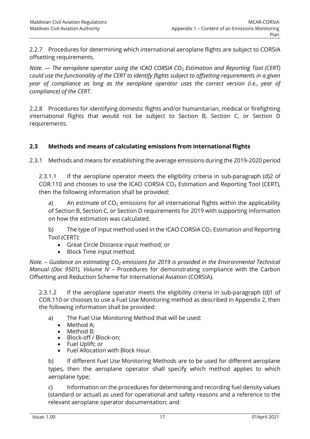2.2.7 Procedures for determining which international aeroplane flights are subject to CORSIA offsetting requirements.

*Note. — The aeroplane operator using the ICAO CORSIA CO<sup>2</sup> Estimation and Reporting Tool (CERT) could use the functionality of the CERT to identify flights subject to offsetting requirements in a given year of compliance as long as the aeroplane operator uses the correct version (i.e., year of compliance) of the CERT.*

2.2.8 Procedures for identifying domestic flights and/or humanitarian, medical or firefighting international flights that would not be subject to Section B, Section C, or Section D requirements.

#### **2.3 Methods and means of calculating emissions from international flights**

2.3.1 Methods and means for establishing the average emissions during the 2019-2020 period

2.3.1.1 If the aeroplane operator meets the eligibility criteria in sub-paragraph (d)2 of COR.110 and chooses to use the ICAO CORSIA  $CO<sub>2</sub>$  Estimation and Reporting Tool (CERT), then the following information shall be provided:

a) An estimate of  $CO<sub>2</sub>$  emissions for all international flights within the applicability of Section B, Section C, or Section D requirements for 2019 with supporting information on how the estimation was calculated.

b) The type of input method used in the ICAO CORSIA  $CO<sub>2</sub>$  Estimation and Reporting Tool (CERT):

- Great Circle Distance input method; or
- Block Time input method.

*Note. – Guidance on estimating CO<sup>2</sup> emissions for 2019 is provided in the Environmental Technical Manual (Doc 9501), Volume IV –* Procedures for demonstrating compliance with the Carbon Offsetting and Reduction Scheme for International Aviation (CORSIA)*.*

2.3.1.2 If the aeroplane operator meets the eligibility criteria in sub-paragraph (d)1 of COR.110 or chooses to use a Fuel Use Monitoring method as described in Appendix 2, then the following information shall be provided:

- a) The Fuel Use Monitoring Method that will be used:
	- Method A;
	- Method B;
	- Block-off / Block-on;
	- Fuel Uplift; or
	- Fuel Allocation with Block Hour.

b) If different Fuel Use Monitoring Methods are to be used for different aeroplane types, then the aeroplane operator shall specify which method applies to which aeroplane type;

c) Information on the procedures for determining and recording fuel density values (standard or actual) as used for operational and safety reasons and a reference to the relevant aeroplane operator documentation; and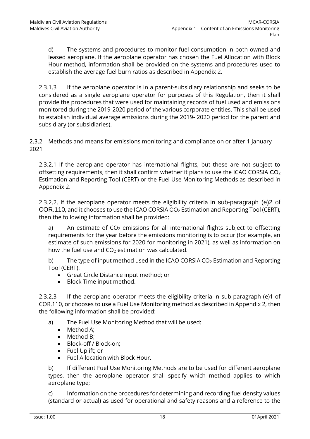d) The systems and procedures to monitor fuel consumption in both owned and leased aeroplane. If the aeroplane operator has chosen the Fuel Allocation with Block Hour method, information shall be provided on the systems and procedures used to establish the average fuel burn ratios as described in Appendix 2.

2.3.1.3 If the aeroplane operator is in a parent-subsidiary relationship and seeks to be considered as a single aeroplane operator for purposes of this Regulation, then it shall provide the procedures that were used for maintaining records of fuel used and emissions monitored during the 2019-2020 period of the various corporate entities. This shall be used to establish individual average emissions during the 2019- 2020 period for the parent and subsidiary (or subsidiaries).

2.3.2 Methods and means for emissions monitoring and compliance on or after 1 January 2021

2.3.2.1 If the aeroplane operator has international flights, but these are not subject to offsetting requirements, then it shall confirm whether it plans to use the ICAO CORSIA CO<sup>2</sup> Estimation and Reporting Tool (CERT) or the Fuel Use Monitoring Methods as described in Appendix 2.

2.3.2.2. If the aeroplane operator meets the eligibility criteria in sub-paragraph (e)2 of COR.110, and it chooses to use the ICAO CORSIA CO<sup>2</sup> Estimation and Reporting Tool (CERT), then the following information shall be provided:

a) An estimate of  $CO<sub>2</sub>$  emissions for all international flights subject to offsetting requirements for the year before the emissions monitoring is to occur (for example, an estimate of such emissions for 2020 for monitoring in 2021), as well as information on how the fuel use and  $CO<sub>2</sub>$  estimation was calculated.

b) The type of input method used in the ICAO CORSIA  $CO<sub>2</sub>$  Estimation and Reporting Tool (CERT):

- Great Circle Distance input method; or
- Block Time input method.

2.3.2.3 If the aeroplane operator meets the eligibility criteria in sub-paragraph (e)1 of COR.110, or chooses to use a Fuel Use Monitoring method as described in Appendix 2, then the following information shall be provided:

- a) The Fuel Use Monitoring Method that will be used:
	- Method A:
	- Method B;
	- Block-off / Block-on;
	- Fuel Uplift; or
	- Fuel Allocation with Block Hour.

b) If different Fuel Use Monitoring Methods are to be used for different aeroplane types, then the aeroplane operator shall specify which method applies to which aeroplane type;

c) Information on the procedures for determining and recording fuel density values (standard or actual) as used for operational and safety reasons and a reference to the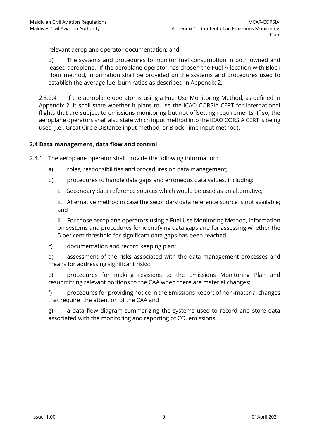relevant aeroplane operator documentation; and

d) The systems and procedures to monitor fuel consumption in both owned and leased aeroplane. If the aeroplane operator has chosen the Fuel Allocation with Block Hour method, information shall be provided on the systems and procedures used to establish the average fuel burn ratios as described in Appendix 2.

2.3.2.4 If the aeroplane operator is using a Fuel Use Monitoring Method, as defined in Appendix 2, it shall state whether it plans to use the ICAO CORSIA CERT for international flights that are subject to emissions monitoring but not offsetting requirements. If so, the aeroplane operators shall also state which input method into the ICAO CORSIA CERT is being used (i.e., Great Circle Distance input method, or Block Time input method).

#### **2.4 Data management, data flow and control**

2.4.1 The aeroplane operator shall provide the following information:

- a) roles, responsibilities and procedures on data management;
- b) procedures to handle data gaps and erroneous data values, including:
	- i. Secondary data reference sources which would be used as an alternative;

ii. Alternative method in case the secondary data reference source is not available; and

iii. For those aeroplane operators using a Fuel Use Monitoring Method, information on systems and procedures for identifying data gaps and for assessing whether the 5 per cent threshold for significant data gaps has been reached.

c) documentation and record keeping plan;

d) assessment of the risks associated with the data management processes and means for addressing significant risks;

e) procedures for making revisions to the Emissions Monitoring Plan and resubmitting relevant portions to the CAA when there are material changes;

f) procedures for providing notice in the Emissions Report of non-material changes that require the attention of the CAA and

g) a data flow diagram summarizing the systems used to record and store data associated with the monitoring and reporting of  $CO<sub>2</sub>$  emissions.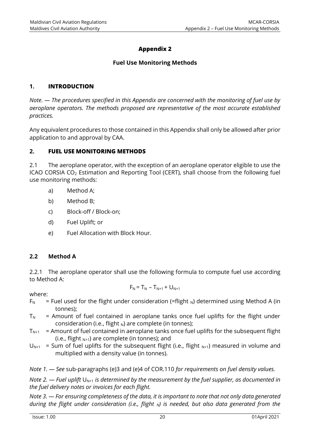# **Appendix 2**

#### **Fuel Use Monitoring Methods**

#### <span id="page-26-0"></span>**1. INTRODUCTION**

*Note. — The procedures specified in this Appendix are concerned with the monitoring of fuel use by aeroplane operators. The methods proposed are representative of the most accurate established practices.*

Any equivalent procedures to those contained in this Appendix shall only be allowed after prior application to and approval by CAA.

#### **2. FUEL USE MONITORING METHODS**

2.1 The aeroplane operator, with the exception of an aeroplane operator eligible to use the ICAO CORSIA CO<sup>2</sup> Estimation and Reporting Tool (CERT), shall choose from the following fuel use monitoring methods:

- a) Method A;
- b) Method B;
- c) Block-off / Block-on;
- d) Fuel Uplift; or
- e) Fuel Allocation with Block Hour.

#### **2.2 Method A**

2.2.1 The aeroplane operator shall use the following formula to compute fuel use according to Method A:

$$
F_N = T_N - T_{N+1} + U_{N+1}
$$

where:

- $F_N$  = Fuel used for the flight under consideration (=flight <sub>N</sub>) determined using Method A (in tonnes);
- $T_N$  = Amount of fuel contained in aeroplane tanks once fuel uplifts for the flight under consideration (i.e., flight  $_N$ ) are complete (in tonnes);
- $T<sub>N+1</sub>$  = Amount of fuel contained in aeroplane tanks once fuel uplifts for the subsequent flight (i.e., flight  $_{N+1}$ ) are complete (in tonnes); and
- $U_{N+1}$  = Sum of fuel uplifts for the subsequent flight (i.e., flight  $_{N+1}$ ) measured in volume and multiplied with a density value (in tonnes).

*Note 1. — See* sub-paragraphs (e)3 and (e)4 of COR.110 *for requirements on fuel density values.*

*Note 2. — Fuel uplift*  $U_{N+1}$  *is determined by the measurement by the fuel supplier, as documented in the fuel delivery notes or invoices for each flight.*

*Note 3. — For ensuring completeness of the data, it is important to note that not only data generated during the flight under consideration (i.e., flight N) is needed, but also data generated from the*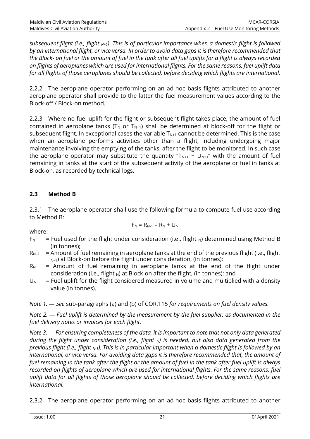*subsequent flight (i.e., flight N+1). This is of particular importance when a domestic flight is followed by an international flight, or vice versa. In order to avoid data gaps it is therefore recommended that the Block- on fuel or the amount of fuel in the tank after all fuel uplifts for a flight is always recorded on flights of aeroplanes which are used for international flights. For the same reasons, fuel uplift data for all flights of those aeroplanes should be collected, before deciding which flights are international.*

2.2.2 The aeroplane operator performing on an ad-hoc basis flights attributed to another aeroplane operator shall provide to the latter the fuel measurement values according to the Block-off / Block-on method.

2.2.3 Where no fuel uplift for the flight or subsequent flight takes place, the amount of fuel contained in aeroplane tanks ( $T_N$  or  $T_{N+1}$ ) shall be determined at block-off for the flight or subsequent flight. In exceptional cases the variable  $T_{N+1}$  cannot be determined. This is the case when an aeroplane performs activities other than a flight, including undergoing major maintenance involving the emptying of the tanks, after the flight to be monitored. In such case the aeroplane operator may substitute the quantity " $T_{N+1}$  +  $U_{N+1}$ " with the amount of fuel remaining in tanks at the start of the subsequent activity of the aeroplane or fuel in tanks at Block-on, as recorded by technical logs.

# **2.3 Method B**

2.3.1 The aeroplane operator shall use the following formula to compute fuel use according to Method B:

where:

$$
F_N=R_{N\text{-}1}-R_N+U_N
$$

- $F_N$  = Fuel used for the flight under consideration (i.e., flight <sub>N</sub>) determined using Method B (in tonnes);
- $R_{N-1}$  = Amount of fuel remaining in aeroplane tanks at the end of the previous flight (i.e., flight  $_{N-1}$ ) at Block-on before the flight under consideration, (in tonnes);
- $R_N$  = Amount of fuel remaining in aeroplane tanks at the end of the flight under consideration (i.e., flight  $_N$ ) at Block-on after the flight, (in tonnes); and
- $U_N$  = Fuel uplift for the flight considered measured in volume and multiplied with a density value (in tonnes).

*Note 1. — See* sub-paragraphs (a) and (b) of COR.115 *for requirements on fuel density values.*

*Note 2. — Fuel uplift is determined by the measurement by the fuel supplier, as documented in the fuel delivery notes or invoices for each flight.*

*Note 3. — For ensuring completeness of the data, it is important to note that not only data generated during the flight under consideration (i.e., flight N) is needed, but also data generated from the previous flight (i.e., flight N-1). This is in particular important when a domestic flight is followed by an international, or vice versa. For avoiding data gaps it is therefore recommended that, the amount of fuel remaining in the tank after the flight or the amount of fuel in the tank after fuel uplift is always recorded on flights of aeroplane which are used for international flights. For the same reasons, fuel uplift data for all flights of those aeroplane should be collected, before deciding which flights are international.*

2.3.2 The aeroplane operator performing on an ad-hoc basis flights attributed to another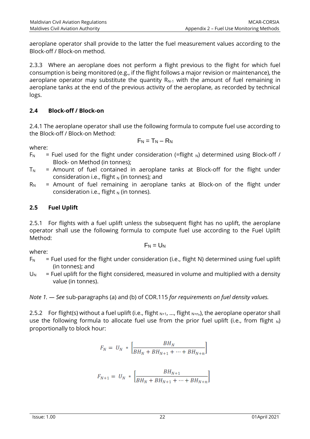aeroplane operator shall provide to the latter the fuel measurement values according to the Block-off / Block-on method.

2.3.3 Where an aeroplane does not perform a flight previous to the flight for which fuel consumption is being monitored (e.g., if the flight follows a major revision or maintenance), the aeroplane operator may substitute the quantity  $R_{N-1}$  with the amount of fuel remaining in aeroplane tanks at the end of the previous activity of the aeroplane, as recorded by technical logs.

#### **2.4 Block-off / Block-on**

2.4.1 The aeroplane operator shall use the following formula to compute fuel use according to the Block-off / Block-on Method:

 $F_N = T_N - R_N$ 

where:

- $F_N$  = Fuel used for the flight under consideration (=flight <sub>N</sub>) determined using Block-off / Block- on Method (in tonnes);
- $T_N$  = Amount of fuel contained in aeroplane tanks at Block-off for the flight under consideration i.e., flight  $_N$  (in tonnes); and
- $R_N$  = Amount of fuel remaining in aeroplane tanks at Block-on of the flight under consideration i.e., flight  $_N$  (in tonnes).

# **2.5 Fuel Uplift**

2.5.1 For flights with a fuel uplift unless the subsequent flight has no uplift, the aeroplane operator shall use the following formula to compute fuel use according to the Fuel Uplift Method:

 $F_N = U_N$ 

where:

- $F_N$  = Fuel used for the flight under consideration (i.e., flight N) determined using fuel uplift (in tonnes); and
- $U_N$  = Fuel uplift for the flight considered, measured in volume and multiplied with a density value (in tonnes).

*Note 1. — See* sub-paragraphs (a) and (b) of COR.115 *for requirements on fuel density values.*

2.5.2 For flight(s) without a fuel uplift (i.e., flight  $N+1$ , ..., flight  $N+n$ ,), the aeroplane operator shall use the following formula to allocate fuel use from the prior fuel uplift (i.e., from flight  $_N$ ) proportionally to block hour:

$$
F_N = U_N \times \left[ \frac{BH_N}{BH_N + BH_{N+1} + \dots + BH_{N+n}} \right]
$$

$$
F_{N+1} = U_N * \left[ \frac{BH_{N+1}}{BH_N + BH_{N+1} + \dots + BH_{N+n}} \right]
$$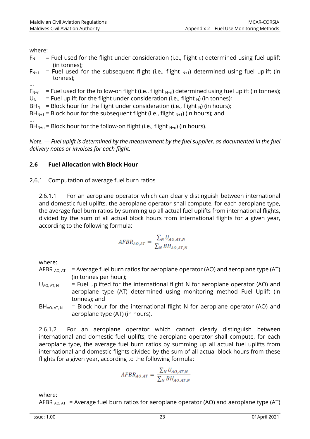where:

…

- $F_N$  = Fuel used for the flight under consideration (i.e., flight <sub>N</sub>) determined using fuel uplift (in tonnes);
- $F_{N+1}$  = Fuel used for the subsequent flight (i.e., flight  $_{N+1}$ ) determined using fuel uplift (in tonnes);
- $F_{N+n}$  = Fuel used for the follow-on flight (i.e., flight  $_{N+n}$ ) determined using fuel uplift (in tonnes);
- $U_N$  = Fuel uplift for the flight under consideration (i.e., flight <sub>N</sub>) (in tonnes);
- BH<sub>N</sub> = Block hour for the flight under consideration (i.e., flight <sub>N</sub>) (in hours);

 $BH_{N+1}$  = Block hour for the subsequent flight (i.e., flight  $_{N+1}$ ) (in hours); and

… BH<sub>N+n</sub> = Block hour for the follow-on flight (i.e., flight  $_{N+n}$ ) (in hours).

*Note. — Fuel uplift is determined by the measurement by the fuel supplier, as documented in the fuel delivery notes or invoices for each flight.*

#### **2.6 Fuel Allocation with Block Hour**

2.6.1 Computation of average fuel burn ratios

2.6.1.1 For an aeroplane operator which can clearly distinguish between international and domestic fuel uplifts, the aeroplane operator shall compute, for each aeroplane type, the average fuel burn ratios by summing up all actual fuel uplifts from international flights, divided by the sum of all actual block hours from international flights for a given year, according to the following formula:

$$
AFBR_{AO,AT} = \frac{\sum_{N} U_{AO,AT,N}}{\sum_{N} BH_{AO,AT,N}}
$$

where:

- AFBR  $_{AO, AT}$  = Average fuel burn ratios for aeroplane operator (AO) and aeroplane type (AT) (in tonnes per hour);
- $U_{AO, AT, N}$  = Fuel uplifted for the international flight N for aeroplane operator (AO) and aeroplane type (AT) determined using monitoring method Fuel Uplift (in tonnes); and
- $BH<sub>AO, AT,N</sub>$  = Block hour for the international flight N for aeroplane operator (AO) and aeroplane type (AT) (in hours).

2.6.1.2 For an aeroplane operator which cannot clearly distinguish between international and domestic fuel uplifts, the aeroplane operator shall compute, for each aeroplane type, the average fuel burn ratios by summing up all actual fuel uplifts from international and domestic flights divided by the sum of all actual block hours from these flights for a given year, according to the following formula:

$$
AFBR_{AO,AT} = \frac{\sum_{N} U_{AO,AT,N}}{\sum_{N} BH_{AO,AT,N}}
$$

where:

AFBR  $_{AO, AT}$  = Average fuel burn ratios for aeroplane operator (AO) and aeroplane type (AT)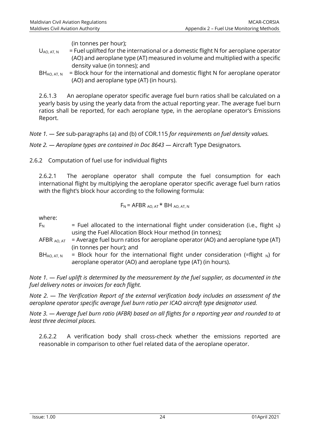(in tonnes per hour);

- $U_{AOLAT,N}$  = Fuel uplifted for the international or a domestic flight N for aeroplane operator (AO) and aeroplane type (AT) measured in volume and multiplied with a specific density value (in tonnes); and
- $BH_{AO, AT,N}$  = Block hour for the international and domestic flight N for aeroplane operator (AO) and aeroplane type (AT) (in hours).

2.6.1.3 An aeroplane operator specific average fuel burn ratios shall be calculated on a yearly basis by using the yearly data from the actual reporting year. The average fuel burn ratios shall be reported, for each aeroplane type, in the aeroplane operator's Emissions Report.

*Note 1. — See* sub-paragraphs (a) and (b) of COR.115 *for requirements on fuel density values.*

*Note 2. — Aeroplane types are contained in Doc 8643 —* Aircraft Type Designators*.*

2.6.2 Computation of fuel use for individual flights

2.6.2.1 The aeroplane operator shall compute the fuel consumption for each international flight by multiplying the aeroplane operator specific average fuel burn ratios with the flight's block hour according to the following formula:

$$
F_N = AFBR_{AO, AT} * BH_{AO, AT, N}
$$

where:

| $F_N$                   | = Fuel allocated to the international flight under consideration (i.e., flight $_N$ )           |
|-------------------------|-------------------------------------------------------------------------------------------------|
|                         | using the Fuel Allocation Block Hour method (in tonnes);                                        |
|                         | AFBR $_{AO, AT}$ = Average fuel burn ratios for aeroplane operator (AO) and aeroplane type (AT) |
|                         | (in tonnes per hour); and                                                                       |
| BH <sub>AO, AT, N</sub> | = Block hour for the international flight under consideration (=flight $_{N}$ ) for             |
|                         | aeroplane operator (AO) and aeroplane type (AT) (in hours).                                     |

*Note 1. — Fuel uplift is determined by the measurement by the fuel supplier, as documented in the fuel delivery notes or invoices for each flight.*

*Note 2. — The Verification Report of the external verification body includes an assessment of the aeroplane operator specific average fuel burn ratio per ICAO aircraft type designator used.*

*Note 3. — Average fuel burn ratio (AFBR) based on all flights for a reporting year and rounded to at least three decimal places.*

2.6.2.2 A verification body shall cross-check whether the emissions reported are reasonable in comparison to other fuel related data of the aeroplane operator.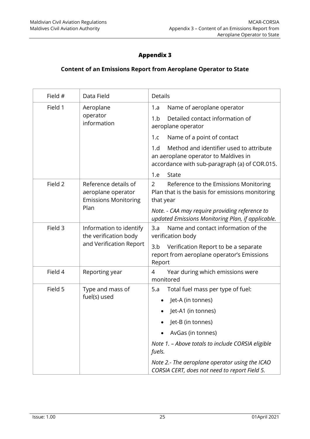# **Appendix 3**

#### <span id="page-31-0"></span>**Content of an Emissions Report from Aeroplane Operator to State**

| Field # | Data Field                                                                  | <b>Details</b>                                                                                                                          |  |
|---------|-----------------------------------------------------------------------------|-----------------------------------------------------------------------------------------------------------------------------------------|--|
| Field 1 | Aeroplane<br>operator<br>information                                        | Name of aeroplane operator<br>1.a                                                                                                       |  |
|         |                                                                             | 1.b<br>Detailed contact information of<br>aeroplane operator                                                                            |  |
|         |                                                                             | 1.c<br>Name of a point of contact                                                                                                       |  |
|         |                                                                             | Method and identifier used to attribute<br>1.d<br>an aeroplane operator to Maldives in<br>accordance with sub-paragraph (a) of COR.015. |  |
|         |                                                                             | 1.e<br>State                                                                                                                            |  |
| Field 2 | Reference details of<br>aeroplane operator<br><b>Emissions Monitoring</b>   | Reference to the Emissions Monitoring<br>$\overline{2}$<br>Plan that is the basis for emissions monitoring<br>that year                 |  |
|         | Plan                                                                        | Note. - CAA may require providing reference to<br>updated Emissions Monitoring Plan, if applicable.                                     |  |
| Field 3 | Information to identify<br>the verification body<br>and Verification Report | Name and contact information of the<br>3.a<br>verification body                                                                         |  |
|         |                                                                             | 3.b<br>Verification Report to be a separate<br>report from aeroplane operator's Emissions<br>Report                                     |  |
| Field 4 | Reporting year                                                              | Year during which emissions were<br>4<br>monitored                                                                                      |  |
| Field 5 | Type and mass of                                                            | Total fuel mass per type of fuel:<br>5.a                                                                                                |  |
|         | fuel(s) used                                                                | Jet-A (in tonnes)                                                                                                                       |  |
|         |                                                                             | Jet-A1 (in tonnes)                                                                                                                      |  |
|         |                                                                             | Jet-B (in tonnes)                                                                                                                       |  |
|         |                                                                             | AvGas (in tonnes)                                                                                                                       |  |
|         |                                                                             | Note 1. - Above totals to include CORSIA eligible<br>fuels.                                                                             |  |
|         |                                                                             | Note 2.- The aeroplane operator using the ICAO<br>CORSIA CERT, does not need to report Field 5.                                         |  |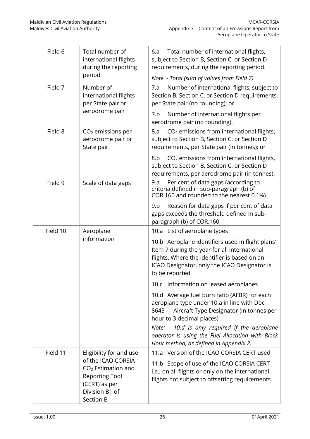| Field 6              | Total number of<br>international flights<br>during the reporting<br>period                                                                     | Total number of international flights,<br>6.a<br>subject to Section B, Section C, or Section D<br>requirements, during the reporting period.<br>Note. - Total (sum of values from Field 7)                         |
|----------------------|------------------------------------------------------------------------------------------------------------------------------------------------|--------------------------------------------------------------------------------------------------------------------------------------------------------------------------------------------------------------------|
| Number of<br>Field 7 | international flights<br>per State pair or                                                                                                     | Number of international flights, subject to<br>7.a<br>Section B, Section C, or Section D requirements,<br>per State pair (no rounding); or                                                                         |
|                      | aerodrome pair                                                                                                                                 | Number of international flights per<br>7.b<br>aerodrome pair (no rounding).                                                                                                                                        |
| Field 8              | $CO2$ emissions per<br>aerodrome pair or<br>State pair                                                                                         | CO <sub>2</sub> emissions from international flights,<br>8.a<br>subject to Section B, Section C, or Section D<br>requirements, per State pair (in tonnes); or                                                      |
|                      |                                                                                                                                                | CO <sub>2</sub> emissions from international flights,<br>8.b<br>subject to Section B, Section C, or Section D<br>requirements, per aerodrome pair (in tonnes).                                                     |
| Field 9              | Scale of data gaps                                                                                                                             | Per cent of data gaps (according to<br>9.a<br>criteria defined in sub-paragraph (b) of<br>COR.160 and rounded to the nearest 0.1%)                                                                                 |
|                      |                                                                                                                                                | Reason for data gaps if per cent of data<br>9.b<br>gaps exceeds the threshold defined in sub-<br>paragraph (b) of COR.160                                                                                          |
| Field 10             | Aeroplane                                                                                                                                      | 10.a List of aeroplane types                                                                                                                                                                                       |
|                      | information                                                                                                                                    | 10.b Aeroplane identifiers used in flight plans'<br>Item 7 during the year for all international<br>flights. Where the identifier is based on an<br>ICAO Designator, only the ICAO Designator is<br>to be reported |
|                      |                                                                                                                                                | 10.c Information on leased aeroplanes                                                                                                                                                                              |
|                      |                                                                                                                                                | 10.d Average fuel burn ratio (AFBR) for each<br>aeroplane type under 10.a in line with Doc<br>8643 - Aircraft Type Designator (in tonnes per<br>hour to 3 decimal places)                                          |
|                      |                                                                                                                                                | Note: - 10.d is only required if the aeroplane<br>operator is using the Fuel Allocation with Block<br>Hour method, as defined in Appendix 2.                                                                       |
| Field 11             | Eligibility for and use<br>of the ICAO CORSIA<br>$CO2$ Estimation and<br><b>Reporting Tool</b><br>(CERT) as per<br>Division B1 of<br>Section B | 11.a Version of the ICAO CORSIA CERT used<br>11.b Scope of use of the ICAO CORSIA CERT<br>i.e., on all flights or only on the international<br>flights not subject to offsetting requirements                      |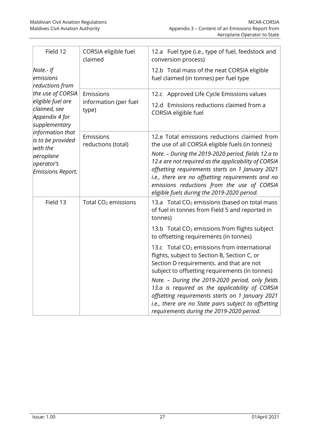| Field 12                                                                                                                                                                                                                                    | CORSIA eligible fuel<br>claimed             | 12.a Fuel type (i.e., type of fuel, feedstock and<br>conversion process)                                                                                                                                                                                                                                                                                                                                                                                              |
|---------------------------------------------------------------------------------------------------------------------------------------------------------------------------------------------------------------------------------------------|---------------------------------------------|-----------------------------------------------------------------------------------------------------------------------------------------------------------------------------------------------------------------------------------------------------------------------------------------------------------------------------------------------------------------------------------------------------------------------------------------------------------------------|
| Note.- If<br>emissions<br>reductions from<br>the use of CORSIA<br>eligible fuel are<br>claimed, see<br>Appendix 4 for<br>supplementary<br>information that<br>is to be provided<br>with the<br>aeroplane<br>operator's<br>Emissions Report. |                                             | 12.b Total mass of the neat CORSIA eligible<br>fuel claimed (in tonnes) per fuel type                                                                                                                                                                                                                                                                                                                                                                                 |
|                                                                                                                                                                                                                                             | Emissions<br>information (per fuel<br>type) | 12.c Approved Life Cycle Emissions values<br>12.d Emissions reductions claimed from a<br>CORSIA eligible fuel                                                                                                                                                                                                                                                                                                                                                         |
|                                                                                                                                                                                                                                             | Emissions<br>reductions (total)             | 12.e Total emissions reductions claimed from<br>the use of all CORSIA eligible fuels (in tonnes)<br>Note. - During the 2019-2020 period, fields 12.a to<br>12.e are not required as the applicability of CORSIA<br>offsetting requirements starts on 1 January 2021<br>i.e., there are no offsetting requirements and no<br>emissions reductions from the use of CORSIA<br>eligible fuels during the 2019-2020 period.                                                |
| Field 13                                                                                                                                                                                                                                    | Total CO <sub>2</sub> emissions             | 13.a Total CO <sub>2</sub> emissions (based on total mass<br>of fuel in tonnes from Field 5 and reported in<br>tonnes)                                                                                                                                                                                                                                                                                                                                                |
|                                                                                                                                                                                                                                             |                                             | 13.b Total CO <sub>2</sub> emissions from flights subject<br>to offsetting requirements (in tonnes)                                                                                                                                                                                                                                                                                                                                                                   |
|                                                                                                                                                                                                                                             |                                             | 13.c Total CO <sub>2</sub> emissions from international<br>flights, subject to Section B, Section C, or<br>Section D requirements. and that are not<br>subject to offsetting requirements (in tonnes)<br>Note. - During the 2019-2020 period, only fields<br>13.a is required as the applicability of CORSIA<br>offsetting requirements starts on 1 January 2021<br>i.e., there are no State pairs subject to offsetting<br>requirements during the 2019-2020 period. |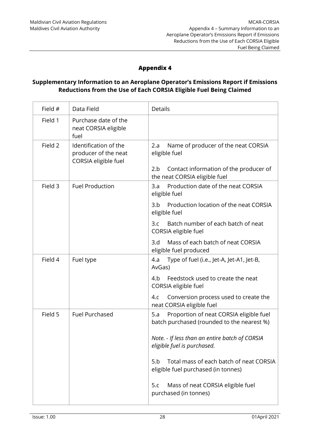# **Appendix 4**

#### <span id="page-34-0"></span>**Supplementary Information to an Aeroplane Operator's Emissions Report if Emissions Reductions from the Use of Each CORSIA Eligible Fuel Being Claimed**

| Field # | Data Field                                                            | <b>Details</b>                                                                                               |
|---------|-----------------------------------------------------------------------|--------------------------------------------------------------------------------------------------------------|
| Field 1 | Purchase date of the<br>neat CORSIA eligible<br>fuel                  |                                                                                                              |
| Field 2 | Identification of the<br>producer of the neat<br>CORSIA eligible fuel | Name of producer of the neat CORSIA<br>2.a<br>eligible fuel<br>Contact information of the producer of<br>2.b |
|         |                                                                       | the neat CORSIA eligible fuel                                                                                |
| Field 3 | <b>Fuel Production</b>                                                | Production date of the neat CORSIA<br>3.a<br>eligible fuel                                                   |
|         |                                                                       | 3.b<br>Production location of the neat CORSIA<br>eligible fuel                                               |
|         |                                                                       | Batch number of each batch of neat<br>3.c<br>CORSIA eligible fuel                                            |
|         |                                                                       | Mass of each batch of neat CORSIA<br>3.d<br>eligible fuel produced                                           |
| Field 4 | Fuel type                                                             | 4.a<br>Type of fuel (i.e., Jet-A, Jet-A1, Jet-B,<br>AvGas)                                                   |
|         |                                                                       | Feedstock used to create the neat<br>4.b<br>CORSIA eligible fuel                                             |
|         |                                                                       | Conversion process used to create the<br>4.c<br>neat CORSIA eligible fuel                                    |
| Field 5 | <b>Fuel Purchased</b>                                                 | Proportion of neat CORSIA eligible fuel<br>5.a<br>batch purchased (rounded to the nearest %)                 |
|         |                                                                       | Note. - If less than an entire batch of CORSIA<br>eligible fuel is purchased.                                |
|         |                                                                       | Total mass of each batch of neat CORSIA<br>5.b<br>eligible fuel purchased (in tonnes)                        |
|         |                                                                       | Mass of neat CORSIA eligible fuel<br>5.c<br>purchased (in tonnes)                                            |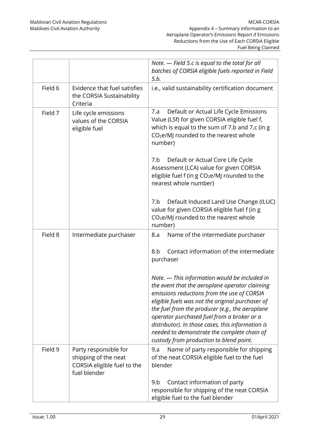|         |                                                                                              | Note. - Field 5.c is equal to the total for all<br>batches of CORSIA eligible fuels reported in Field<br>5.b.                                                                                                                                                                                                                                                                                                                                                                                                                                                  |
|---------|----------------------------------------------------------------------------------------------|----------------------------------------------------------------------------------------------------------------------------------------------------------------------------------------------------------------------------------------------------------------------------------------------------------------------------------------------------------------------------------------------------------------------------------------------------------------------------------------------------------------------------------------------------------------|
| Field 6 | Evidence that fuel satisfies<br>the CORSIA Sustainability<br>Criteria                        | i.e., valid sustainability certification document                                                                                                                                                                                                                                                                                                                                                                                                                                                                                                              |
| Field 7 | Life cycle emissions<br>values of the CORSIA<br>eligible fuel                                | Default or Actual Life Cycle Emissions<br>7.a<br>Value (LSf) for given CORSIA eligible fuel f,<br>which is equal to the sum of 7.b and 7.c (in g<br>CO <sub>2</sub> e/MJ rounded to the nearest whole<br>number)<br>Default or Actual Core Life Cycle<br>7.b<br>Assessment (LCA) value for given CORSIA<br>eligible fuel f (in g CO <sub>2</sub> e/MJ rounded to the<br>nearest whole number)                                                                                                                                                                  |
|         |                                                                                              | Default Induced Land Use Change (ILUC)<br>7.b<br>value for given CORSIA eligible fuel f (in g<br>CO <sub>2</sub> e/MJ rounded to the nearest whole<br>number)                                                                                                                                                                                                                                                                                                                                                                                                  |
| Field 8 | Intermediate purchaser                                                                       | Name of the intermediate purchaser<br>8.a<br>Contact information of the intermediate<br>8.b<br>purchaser<br>Note. - This information would be included in<br>the event that the aeroplane operator claiming<br>emissions reductions from the use of CORSIA<br>eligible fuels was not the original purchaser of<br>the fuel from the producer (e.g., the aeroplane<br>operator purchased fuel from a broker or a<br>distributor). In those cases, this information is<br>needed to demonstrate the complete chain of<br>custody from production to blend point. |
| Field 9 | Party responsible for<br>shipping of the neat<br>CORSIA eligible fuel to the<br>fuel blender | Name of party responsible for shipping<br>9.a<br>of the neat CORSIA eligible fuel to the fuel<br>blender<br>9.b<br>Contact information of party<br>responsible for shipping of the neat CORSIA<br>eligible fuel to the fuel blender                                                                                                                                                                                                                                                                                                                            |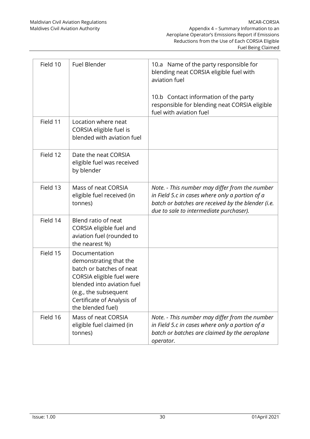| Field 10 | <b>Fuel Blender</b>                                                                                                                                                                                        | 10.a Name of the party responsible for<br>blending neat CORSIA eligible fuel with<br>aviation fuel<br>10.b Contact information of the party<br>responsible for blending neat CORSIA eligible<br>fuel with aviation fuel |
|----------|------------------------------------------------------------------------------------------------------------------------------------------------------------------------------------------------------------|-------------------------------------------------------------------------------------------------------------------------------------------------------------------------------------------------------------------------|
| Field 11 | Location where neat<br>CORSIA eligible fuel is<br>blended with aviation fuel                                                                                                                               |                                                                                                                                                                                                                         |
| Field 12 | Date the neat CORSIA<br>eligible fuel was received<br>by blender                                                                                                                                           |                                                                                                                                                                                                                         |
| Field 13 | Mass of neat CORSIA<br>eligible fuel received (in<br>tonnes)                                                                                                                                               | Note. - This number may differ from the number<br>in Field 5.c in cases where only a portion of a<br>batch or batches are received by the blender (i.e.<br>due to sale to intermediate purchaser).                      |
| Field 14 | Blend ratio of neat<br>CORSIA eligible fuel and<br>aviation fuel (rounded to<br>the nearest %)                                                                                                             |                                                                                                                                                                                                                         |
| Field 15 | Documentation<br>demonstrating that the<br>batch or batches of neat<br>CORSIA eligible fuel were<br>blended into aviation fuel<br>(e.g., the subsequent<br>Certificate of Analysis of<br>the blended fuel) |                                                                                                                                                                                                                         |
| Field 16 | Mass of neat CORSIA<br>eligible fuel claimed (in<br>tonnes)                                                                                                                                                | Note. - This number may differ from the number<br>in Field 5.c in cases where only a portion of a<br>batch or batches are claimed by the aeroplane<br>operator.                                                         |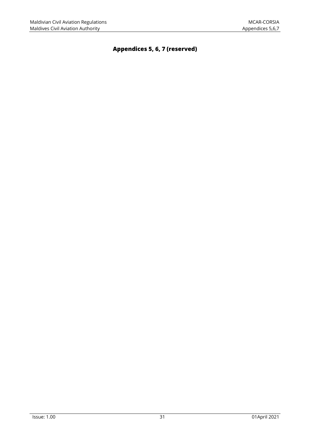# <span id="page-37-0"></span>**Appendices 5, 6, 7 (reserved)**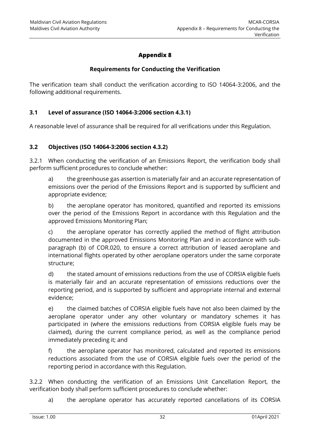# **Appendix 8**

#### **Requirements for Conducting the Verification**

<span id="page-38-0"></span>The verification team shall conduct the verification according to ISO 14064-3:2006, and the following additional requirements.

#### **3.1 Level of assurance (ISO 14064-3:2006 section 4.3.1)**

A reasonable level of assurance shall be required for all verifications under this Regulation.

#### **3.2 Objectives (ISO 14064-3:2006 section 4.3.2)**

3.2.1 When conducting the verification of an Emissions Report, the verification body shall perform sufficient procedures to conclude whether:

a) the greenhouse gas assertion is materially fair and an accurate representation of emissions over the period of the Emissions Report and is supported by sufficient and appropriate evidence;

b) the aeroplane operator has monitored, quantified and reported its emissions over the period of the Emissions Report in accordance with this Regulation and the approved Emissions Monitoring Plan;

c) the aeroplane operator has correctly applied the method of flight attribution documented in the approved Emissions Monitoring Plan and in accordance with subparagraph (b) of COR.020, to ensure a correct attribution of leased aeroplane and international flights operated by other aeroplane operators under the same corporate structure;

d) the stated amount of emissions reductions from the use of CORSIA eligible fuels is materially fair and an accurate representation of emissions reductions over the reporting period, and is supported by sufficient and appropriate internal and external evidence;

e) the claimed batches of CORSIA eligible fuels have not also been claimed by the aeroplane operator under any other voluntary or mandatory schemes it has participated in (where the emissions reductions from CORSIA eligible fuels may be claimed), during the current compliance period, as well as the compliance period immediately preceding it; and

f) the aeroplane operator has monitored, calculated and reported its emissions reductions associated from the use of CORSIA eligible fuels over the period of the reporting period in accordance with this Regulation.

3.2.2 When conducting the verification of an Emissions Unit Cancellation Report, the verification body shall perform sufficient procedures to conclude whether:

a) the aeroplane operator has accurately reported cancellations of its CORSIA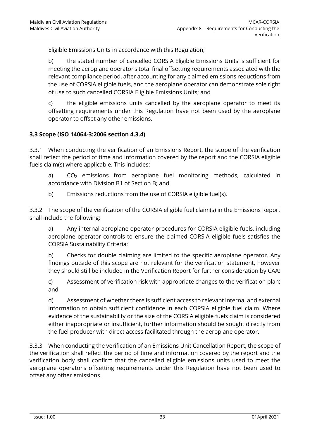Eligible Emissions Units in accordance with this Regulation;

b) the stated number of cancelled CORSIA Eligible Emissions Units is sufficient for meeting the aeroplane operator's total final offsetting requirements associated with the relevant compliance period, after accounting for any claimed emissions reductions from the use of CORSIA eligible fuels, and the aeroplane operator can demonstrate sole right of use to such cancelled CORSIA Eligible Emissions Units; and

c) the eligible emissions units cancelled by the aeroplane operator to meet its offsetting requirements under this Regulation have not been used by the aeroplane operator to offset any other emissions.

#### **3.3 Scope (ISO 14064-3:2006 section 4.3.4)**

3.3.1 When conducting the verification of an Emissions Report, the scope of the verification shall reflect the period of time and information covered by the report and the CORSIA eligible fuels claim(s) where applicable. This includes:

a) CO<sub>2</sub> emissions from aeroplane fuel monitoring methods, calculated in accordance with Division B1 of Section B; and

b) Emissions reductions from the use of CORSIA eligible fuel(s).

3.3.2 The scope of the verification of the CORSIA eligible fuel claim(s) in the Emissions Report shall include the following:

a) Any internal aeroplane operator procedures for CORSIA eligible fuels, including aeroplane operator controls to ensure the claimed CORSIA eligible fuels satisfies the CORSIA Sustainability Criteria;

b) Checks for double claiming are limited to the specific aeroplane operator. Any findings outside of this scope are not relevant for the verification statement, however they should still be included in the Verification Report for further consideration by CAA;

c) Assessment of verification risk with appropriate changes to the verification plan; and

d) Assessment of whether there is sufficient access to relevant internal and external information to obtain sufficient confidence in each CORSIA eligible fuel claim. Where evidence of the sustainability or the size of the CORSIA eligible fuels claim is considered either inappropriate or insufficient, further information should be sought directly from the fuel producer with direct access facilitated through the aeroplane operator.

3.3.3 When conducting the verification of an Emissions Unit Cancellation Report, the scope of the verification shall reflect the period of time and information covered by the report and the verification body shall confirm that the cancelled eligible emissions units used to meet the aeroplane operator's offsetting requirements under this Regulation have not been used to offset any other emissions.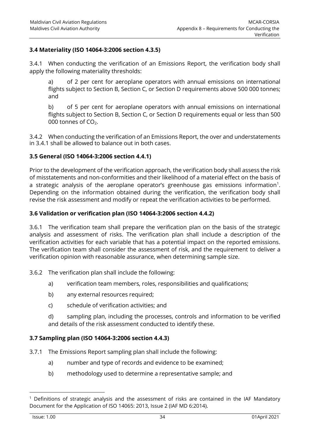#### **3.4 Materiality (ISO 14064-3:2006 section 4.3.5)**

3.4.1 When conducting the verification of an Emissions Report, the verification body shall apply the following materiality thresholds:

a) of 2 per cent for aeroplane operators with annual emissions on international flights subject to Section B, Section C, or Section D requirements above 500 000 tonnes; and

b) of 5 per cent for aeroplane operators with annual emissions on international flights subject to Section B, Section C, or Section D requirements equal or less than 500 000 tonnes of CO<sub>2</sub>.

3.4.2 When conducting the verification of an Emissions Report, the over and understatements in 3.4.1 shall be allowed to balance out in both cases.

#### **3.5 General (ISO 14064-3:2006 section 4.4.1)**

Prior to the development of the verification approach, the verification body shall assess the risk of misstatements and non-conformities and their likelihood of a material effect on the basis of a strategic analysis of the aeroplane operator's greenhouse gas emissions information $^1$ . Depending on the information obtained during the verification, the verification body shall revise the risk assessment and modify or repeat the verification activities to be performed.

#### **3.6 Validation or verification plan (ISO 14064-3:2006 section 4.4.2)**

3.6.1 The verification team shall prepare the verification plan on the basis of the strategic analysis and assessment of risks. The verification plan shall include a description of the verification activities for each variable that has a potential impact on the reported emissions. The verification team shall consider the assessment of risk, and the requirement to deliver a verification opinion with reasonable assurance, when determining sample size.

3.6.2 The verification plan shall include the following:

- a) verification team members, roles, responsibilities and qualifications;
- b) any external resources required;
- c) schedule of verification activities; and

d) sampling plan, including the processes, controls and information to be verified and details of the risk assessment conducted to identify these.

#### **3.7 Sampling plan (ISO 14064-3:2006 section 4.4.3)**

- 3.7.1 The Emissions Report sampling plan shall include the following:
	- a) number and type of records and evidence to be examined;
	- b) methodology used to determine a representative sample; and

 $<sup>1</sup>$  Definitions of strategic analysis and the assessment of risks are contained in the IAF Mandatory</sup> Document for the Application of ISO 14065: 2013, Issue 2 (IAF MD 6:2014).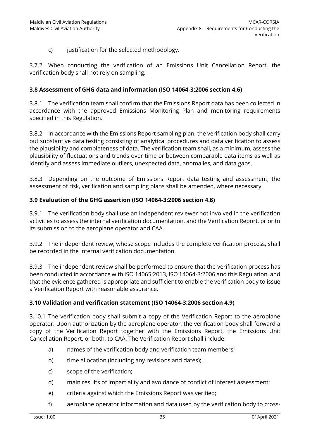c) justification for the selected methodology.

3.7.2 When conducting the verification of an Emissions Unit Cancellation Report, the verification body shall not rely on sampling.

#### **3.8 Assessment of GHG data and information (ISO 14064-3:2006 section 4.6)**

3.8.1 The verification team shall confirm that the Emissions Report data has been collected in accordance with the approved Emissions Monitoring Plan and monitoring requirements specified in this Regulation.

3.8.2 In accordance with the Emissions Report sampling plan, the verification body shall carry out substantive data testing consisting of analytical procedures and data verification to assess the plausibility and completeness of data. The verification team shall, as a minimum, assess the plausibility of fluctuations and trends over time or between comparable data items as well as identify and assess immediate outliers, unexpected data, anomalies, and data gaps.

3.8.3 Depending on the outcome of Emissions Report data testing and assessment, the assessment of risk, verification and sampling plans shall be amended, where necessary.

#### **3.9 Evaluation of the GHG assertion (ISO 14064-3:2006 section 4.8)**

3.9.1 The verification body shall use an independent reviewer not involved in the verification activities to assess the internal verification documentation, and the Verification Report, prior to its submission to the aeroplane operator and CAA.

3.9.2 The independent review, whose scope includes the complete verification process, shall be recorded in the internal verification documentation.

3.9.3 The independent review shall be performed to ensure that the verification process has been conducted in accordance with ISO 14065:2013, ISO 14064-3:2006 and this Regulation, and that the evidence gathered is appropriate and sufficient to enable the verification body to issue a Verification Report with reasonable assurance.

#### **3.10 Validation and verification statement (ISO 14064-3:2006 section 4.9)**

3.10.1 The verification body shall submit a copy of the Verification Report to the aeroplane operator. Upon authorization by the aeroplane operator, the verification body shall forward a copy of the Verification Report together with the Emissions Report, the Emissions Unit Cancellation Report, or both, to CAA. The Verification Report shall include:

- a) names of the verification body and verification team members;
- b) time allocation (including any revisions and dates);
- c) scope of the verification;
- d) main results of impartiality and avoidance of conflict of interest assessment;
- e) criteria against which the Emissions Report was verified;
- f) aeroplane operator information and data used by the verification body to cross-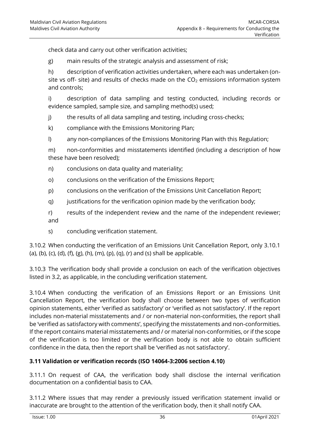check data and carry out other verification activities;

g) main results of the strategic analysis and assessment of risk;

h) description of verification activities undertaken, where each was undertaken (onsite vs off- site) and results of checks made on the  $CO<sub>2</sub>$  emissions information system and controls;

i) description of data sampling and testing conducted, including records or evidence sampled, sample size, and sampling method(s) used;

j) the results of all data sampling and testing, including cross-checks;

- k) compliance with the Emissions Monitoring Plan;
- l) any non-compliances of the Emissions Monitoring Plan with this Regulation;

m) non-conformities and misstatements identified (including a description of how these have been resolved);

- n) conclusions on data quality and materiality;
- o) conclusions on the verification of the Emissions Report;
- p) conclusions on the verification of the Emissions Unit Cancellation Report;
- q) justifications for the verification opinion made by the verification body;
- r) results of the independent review and the name of the independent reviewer; and
- s) concluding verification statement.

3.10.2 When conducting the verification of an Emissions Unit Cancellation Report, only 3.10.1 (a), (b), (c), (d), (f), (g), (h), (m), (p), (q), (r) and (s) shall be applicable.

3.10.3 The verification body shall provide a conclusion on each of the verification objectives listed in 3.2, as applicable, in the concluding verification statement.

3.10.4 When conducting the verification of an Emissions Report or an Emissions Unit Cancellation Report, the verification body shall choose between two types of verification opinion statements, either 'verified as satisfactory' or 'verified as not satisfactory'. If the report includes non-material misstatements and / or non-material non-conformities, the report shall be 'verified as satisfactory with comments', specifying the misstatements and non-conformities. If the report contains material misstatements and / or material non-conformities, or if the scope of the verification is too limited or the verification body is not able to obtain sufficient confidence in the data, then the report shall be 'verified as not satisfactory'.

#### **3.11 Validation or verification records (ISO 14064-3:2006 section 4.10)**

3.11.1 On request of CAA, the verification body shall disclose the internal verification documentation on a confidential basis to CAA.

3.11.2 Where issues that may render a previously issued verification statement invalid or inaccurate are brought to the attention of the verification body, then it shall notify CAA.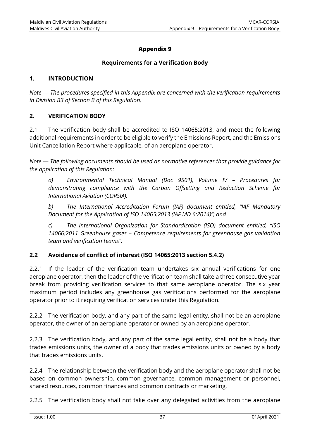# **Appendix 9**

#### **Requirements for a Verification Body**

#### <span id="page-43-0"></span>**1. INTRODUCTION**

*Note — The procedures specified in this Appendix are concerned with the verification requirements in Division B3 of Section B of this Regulation.*

#### **2. VERIFICATION BODY**

2.1 The verification body shall be accredited to ISO 14065:2013, and meet the following additional requirements in order to be eligible to verify the Emissions Report, and the Emissions Unit Cancellation Report where applicable, of an aeroplane operator.

*Note — The following documents should be used as normative references that provide guidance for the application of this Regulation:*

*a) Environmental Technical Manual (Doc 9501), Volume IV – Procedures for demonstrating compliance with the Carbon Offsetting and Reduction Scheme for International Aviation (CORSIA);*

*b) The International Accreditation Forum (IAF) document entitled, "IAF Mandatory Document for the Application of ISO 14065:2013 (IAF MD 6:2014)"; and*

*c) The International Organization for Standardization (ISO) document entitled, "ISO 14066:2011 Greenhouse gases – Competence requirements for greenhouse gas validation team and verification teams".*

#### **2.2 Avoidance of conflict of interest (ISO 14065:2013 section 5.4.2)**

2.2.1 If the leader of the verification team undertakes six annual verifications for one aeroplane operator, then the leader of the verification team shall take a three consecutive year break from providing verification services to that same aeroplane operator. The six year maximum period includes any greenhouse gas verifications performed for the aeroplane operator prior to it requiring verification services under this Regulation.

2.2.2 The verification body, and any part of the same legal entity, shall not be an aeroplane operator, the owner of an aeroplane operator or owned by an aeroplane operator.

2.2.3 The verification body, and any part of the same legal entity, shall not be a body that trades emissions units, the owner of a body that trades emissions units or owned by a body that trades emissions units.

2.2.4 The relationship between the verification body and the aeroplane operator shall not be based on common ownership, common governance, common management or personnel, shared resources, common finances and common contracts or marketing.

2.2.5 The verification body shall not take over any delegated activities from the aeroplane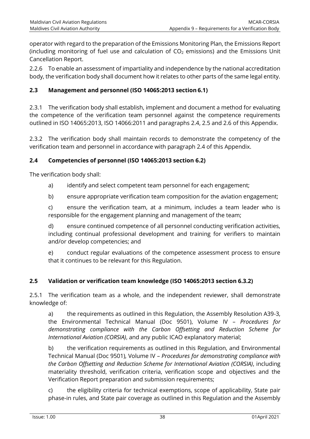operator with regard to the preparation of the Emissions Monitoring Plan, the Emissions Report (including monitoring of fuel use and calculation of  $CO<sub>2</sub>$  emissions) and the Emissions Unit Cancellation Report.

2.2.6 To enable an assessment of impartiality and independence by the national accreditation body, the verification body shall document how it relates to other parts of the same legal entity.

## **2.3 Management and personnel (ISO 14065:2013 section 6.1)**

2.3.1 The verification body shall establish, implement and document a method for evaluating the competence of the verification team personnel against the competence requirements outlined in ISO 14065:2013, ISO 14066:2011 and paragraphs 2.4, 2.5 and 2.6 of this Appendix.

2.3.2 The verification body shall maintain records to demonstrate the competency of the verification team and personnel in accordance with paragraph 2.4 of this Appendix.

#### **2.4 Competencies of personnel (ISO 14065:2013 section 6.2)**

The verification body shall:

- a) identify and select competent team personnel for each engagement;
- b) ensure appropriate verification team composition for the aviation engagement;

c) ensure the verification team, at a minimum, includes a team leader who is responsible for the engagement planning and management of the team;

d) ensure continued competence of all personnel conducting verification activities, including continual professional development and training for verifiers to maintain and/or develop competencies; and

e) conduct regular evaluations of the competence assessment process to ensure that it continues to be relevant for this Regulation.

#### **2.5 Validation or verification team knowledge (ISO 14065:2013 section 6.3.2)**

2.5.1 The verification team as a whole, and the independent reviewer, shall demonstrate knowledge of:

a) the requirements as outlined in this Regulation, the Assembly Resolution A39-3, the Environmental Technical Manual (Doc 9501), Volume IV – *Procedures for demonstrating compliance with the Carbon Offsetting and Reduction Scheme for International Aviation (CORSIA)*, and any public ICAO explanatory material;

b) the verification requirements as outlined in this Regulation, and Environmental Technical Manual (Doc 9501), Volume IV – *Procedures for demonstrating compliance with the Carbon Offsetting and Reduction Scheme for International Aviation (CORSIA)*, including materiality threshold, verification criteria, verification scope and objectives and the Verification Report preparation and submission requirements;

c) the eligibility criteria for technical exemptions, scope of applicability, State pair phase-in rules, and State pair coverage as outlined in this Regulation and the Assembly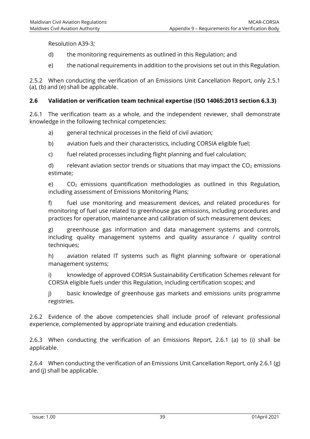Resolution A39-3;

- d) the monitoring requirements as outlined in this Regulation; and
- e) the national requirements in addition to the provisions set out in this Regulation.

2.5.2 When conducting the verification of an Emissions Unit Cancellation Report, only 2.5.1 (a), (b) and (e) shall be applicable.

#### **2.6 Validation or verification team technical expertise (ISO 14065:2013 section 6.3.3)**

2.6.1 The verification team as a whole, and the independent reviewer, shall demonstrate knowledge in the following technical competencies:

- a) general technical processes in the field of civil aviation;
- b) aviation fuels and their characteristics, including CORSIA eligible fuel;
- c) fuel related processes including flight planning and fuel calculation;

d) relevant aviation sector trends or situations that may impact the  $CO<sub>2</sub>$  emissions estimate;

e)  $CO<sub>2</sub>$  emissions quantification methodologies as outlined in this Regulation, including assessment of Emissions Monitoring Plans;

f) fuel use monitoring and measurement devices, and related procedures for monitoring of fuel use related to greenhouse gas emissions, including procedures and practices for operation, maintenance and calibration of such measurement devices;

g) greenhouse gas information and data management systems and controls, including quality management systems and quality assurance / quality control techniques;

h) aviation related IT systems such as flight planning software or operational management systems;

i) knowledge of approved CORSIA Sustainability Certification Schemes relevant for CORSIA eligible fuels under this Regulation, including certification scopes; and

j) basic knowledge of greenhouse gas markets and emissions units programme registries.

2.6.2 Evidence of the above competencies shall include proof of relevant professional experience, complemented by appropriate training and education credentials.

2.6.3 When conducting the verification of an Emissions Report, 2.6.1 (a) to (i) shall be applicable.

2.6.4 When conducting the verification of an Emissions Unit Cancellation Report, only 2.6.1 (g) and (j) shall be applicable.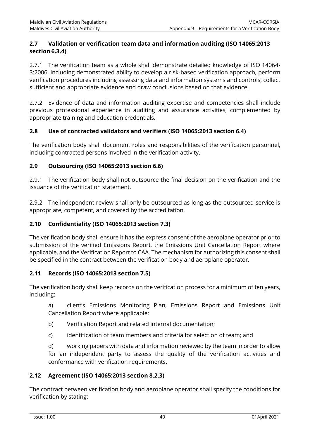#### **2.7 Validation or verification team data and information auditing (ISO 14065:2013 section 6.3.4)**

2.7.1 The verification team as a whole shall demonstrate detailed knowledge of ISO 14064- 3:2006, including demonstrated ability to develop a risk-based verification approach, perform verification procedures including assessing data and information systems and controls, collect sufficient and appropriate evidence and draw conclusions based on that evidence.

2.7.2 Evidence of data and information auditing expertise and competencies shall include previous professional experience in auditing and assurance activities, complemented by appropriate training and education credentials.

#### **2.8 Use of contracted validators and verifiers (ISO 14065:2013 section 6.4)**

The verification body shall document roles and responsibilities of the verification personnel, including contracted persons involved in the verification activity.

#### **2.9 Outsourcing (ISO 14065:2013 section 6.6)**

2.9.1 The verification body shall not outsource the final decision on the verification and the issuance of the verification statement.

2.9.2 The independent review shall only be outsourced as long as the outsourced service is appropriate, competent, and covered by the accreditation.

#### **2.10 Confidentiality (ISO 14065:2013 section 7.3)**

The verification body shall ensure it has the express consent of the aeroplane operator prior to submission of the verified Emissions Report, the Emissions Unit Cancellation Report where applicable, and the Verification Report to CAA. The mechanism for authorizing this consent shall be specified in the contract between the verification body and aeroplane operator.

#### **2.11 Records (ISO 14065:2013 section 7.5)**

The verification body shall keep records on the verification process for a minimum of ten years, including:

a) client's Emissions Monitoring Plan, Emissions Report and Emissions Unit Cancellation Report where applicable;

- b) Verification Report and related internal documentation;
- c) identification of team members and criteria for selection of team; and

d) working papers with data and information reviewed by the team in order to allow for an independent party to assess the quality of the verification activities and conformance with verification requirements.

#### **2.12 Agreement (ISO 14065:2013 section 8.2.3)**

The contract between verification body and aeroplane operator shall specify the conditions for verification by stating: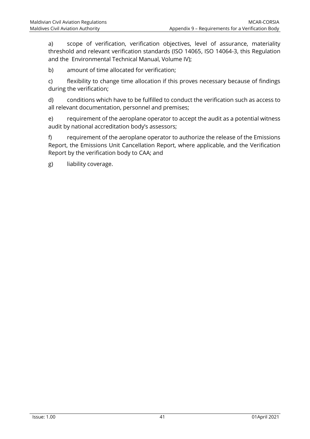a) scope of verification, verification objectives, level of assurance, materiality threshold and relevant verification standards (ISO 14065, ISO 14064-3, this Regulation and the Environmental Technical Manual, Volume IV);

b) amount of time allocated for verification;

c) flexibility to change time allocation if this proves necessary because of findings during the verification;

d) conditions which have to be fulfilled to conduct the verification such as access to all relevant documentation, personnel and premises;

e) requirement of the aeroplane operator to accept the audit as a potential witness audit by national accreditation body's assessors;

f) requirement of the aeroplane operator to authorize the release of the Emissions Report, the Emissions Unit Cancellation Report, where applicable, and the Verification Report by the verification body to CAA; and

g) liability coverage.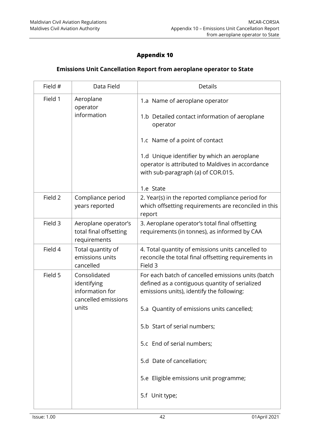# **Appendix 10**

#### **Emissions Unit Cancellation Report from aeroplane operator to State**

<span id="page-48-0"></span>

| Field # | Data Field                                                                     | <b>Details</b>                                                                                                                                                                                                            |
|---------|--------------------------------------------------------------------------------|---------------------------------------------------------------------------------------------------------------------------------------------------------------------------------------------------------------------------|
| Field 1 | Aeroplane<br>operator<br>information                                           | 1.a Name of aeroplane operator<br>1.b Detailed contact information of aeroplane<br>operator<br>1.c Name of a point of contact<br>1.d Unique identifier by which an aeroplane                                              |
| Field 2 | Compliance period<br>years reported                                            | operator is attributed to Maldives in accordance<br>with sub-paragraph (a) of COR.015.<br>1.e State<br>2. Year(s) in the reported compliance period for<br>which offsetting requirements are reconciled in this<br>report |
| Field 3 | Aeroplane operator's<br>total final offsetting<br>requirements                 | 3. Aeroplane operator's total final offsetting<br>requirements (in tonnes), as informed by CAA                                                                                                                            |
| Field 4 | Total quantity of<br>emissions units<br>cancelled                              | 4. Total quantity of emissions units cancelled to<br>reconcile the total final offsetting requirements in<br>Field 3                                                                                                      |
| Field 5 | Consolidated<br>identifying<br>information for<br>cancelled emissions<br>units | For each batch of cancelled emissions units (batch<br>defined as a contiguous quantity of serialized<br>emissions units), identify the following:<br>5.a Quantity of emissions units cancelled;                           |
|         |                                                                                | 5.b Start of serial numbers;                                                                                                                                                                                              |
|         |                                                                                | 5.c End of serial numbers;                                                                                                                                                                                                |
|         |                                                                                | 5.d Date of cancellation;                                                                                                                                                                                                 |
|         |                                                                                | 5.e Eligible emissions unit programme;<br>5.f Unit type;                                                                                                                                                                  |
|         |                                                                                |                                                                                                                                                                                                                           |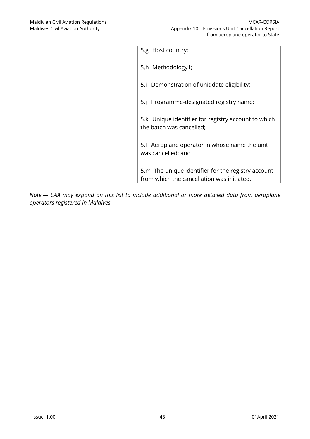| 5.g Host country;                                                                                |
|--------------------------------------------------------------------------------------------------|
| 5.h Methodology1;                                                                                |
| 5.i Demonstration of unit date eligibility;                                                      |
| 5.j Programme-designated registry name;                                                          |
| 5.k Unique identifier for registry account to which<br>the batch was cancelled;                  |
| 5.I Aeroplane operator in whose name the unit<br>was cancelled; and                              |
| 5.m The unique identifier for the registry account<br>from which the cancellation was initiated. |

*Note.— CAA may expand on this list to include additional or more detailed data from aeroplane operators registered in Maldives.*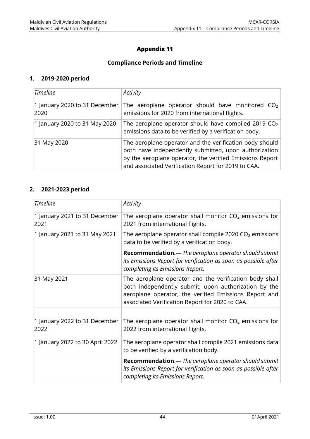# **Appendix 11**

#### **Compliance Periods and Timeline**

#### <span id="page-50-0"></span>**1. 2019-2020 period**

| <b>Timeline</b>                       | Activity                                                                                                                                                                                                                            |
|---------------------------------------|-------------------------------------------------------------------------------------------------------------------------------------------------------------------------------------------------------------------------------------|
| 1 January 2020 to 31 December<br>2020 | The aeroplane operator should have monitored $CO2$<br>emissions for 2020 from international flights.                                                                                                                                |
| 1 January 2020 to 31 May 2020         | The aeroplane operator should have compiled 2019 $CO2$<br>emissions data to be verified by a verification body.                                                                                                                     |
| 31 May 2020                           | The aeroplane operator and the verification body should<br>both have independently submitted, upon authorization<br>by the aeroplane operator, the verified Emissions Report<br>and associated Verification Report for 2019 to CAA. |

#### **2. 2021-2023 period**

| <b>Timeline</b>                       | Activity                                                                                                                                                                                                                   |
|---------------------------------------|----------------------------------------------------------------------------------------------------------------------------------------------------------------------------------------------------------------------------|
| 1 January 2021 to 31 December<br>2021 | The aeroplane operator shall monitor $CO2$ emissions for<br>2021 from international flights.                                                                                                                               |
| 1 January 2021 to 31 May 2021         | The aeroplane operator shall compile 2020 $CO2$ emissions<br>data to be verified by a verification body.                                                                                                                   |
|                                       | <b>Recommendation.</b> — The aeroplane operator should submit<br>its Emissions Report for verification as soon as possible after<br>completing its Emissions Report.                                                       |
| 31 May 2021                           | The aeroplane operator and the verification body shall<br>both independently submit, upon authorization by the<br>aeroplane operator, the verified Emissions Report and<br>associated Verification Report for 2020 to CAA. |
|                                       |                                                                                                                                                                                                                            |
| 1 January 2022 to 31 December<br>2022 | The aeroplane operator shall monitor $CO2$ emissions for<br>2022 from international flights.                                                                                                                               |
| 1 January 2022 to 30 April 2022       | The aeroplane operator shall compile 2021 emissions data<br>to be verified by a verification body.                                                                                                                         |
|                                       | <b>Recommendation.</b> — The aeroplane operator should submit<br>its Emissions Report for verification as soon as possible after<br>completing its Emissions Report.                                                       |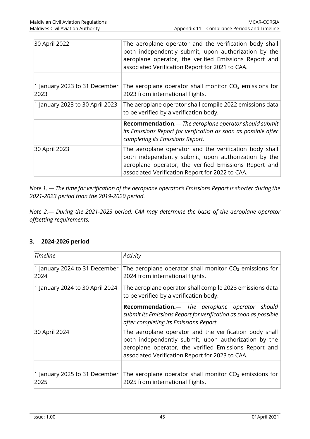| 30 April 2022                         | The aeroplane operator and the verification body shall<br>both independently submit, upon authorization by the<br>aeroplane operator, the verified Emissions Report and<br>associated Verification Report for 2021 to CAA. |
|---------------------------------------|----------------------------------------------------------------------------------------------------------------------------------------------------------------------------------------------------------------------------|
|                                       |                                                                                                                                                                                                                            |
| 1 January 2023 to 31 December<br>2023 | The aeroplane operator shall monitor $CO2$ emissions for<br>2023 from international flights.                                                                                                                               |
| 1 January 2023 to 30 April 2023       | The aeroplane operator shall compile 2022 emissions data<br>to be verified by a verification body.                                                                                                                         |
|                                       | Recommendation. - The aeroplane operator should submit<br>its Emissions Report for verification as soon as possible after<br>completing its Emissions Report.                                                              |
| 30 April 2023                         | The aeroplane operator and the verification body shall<br>both independently submit, upon authorization by the<br>aeroplane operator, the verified Emissions Report and<br>associated Verification Report for 2022 to CAA. |

*Note 1. — The time for verification of the aeroplane operator's Emissions Report is shorter during the 2021-2023 period than the 2019-2020 period.*

*Note 2.— During the 2021-2023 period, CAA may determine the basis of the aeroplane operator offsetting requirements.*

#### **3. 2024-2026 period**

| <b>Timeline</b>                       | Activity                                                                                                                                                                                                                   |
|---------------------------------------|----------------------------------------------------------------------------------------------------------------------------------------------------------------------------------------------------------------------------|
| 1 January 2024 to 31 December<br>2024 | The aeroplane operator shall monitor $CO2$ emissions for<br>2024 from international flights.                                                                                                                               |
| 1 January 2024 to 30 April 2024       | The aeroplane operator shall compile 2023 emissions data<br>to be verified by a verification body.                                                                                                                         |
|                                       | <b>Recommendation.</b> — The aeroplane operator should<br>submit its Emissions Report for verification as soon as possible<br>after completing its Emissions Report.                                                       |
| 30 April 2024                         | The aeroplane operator and the verification body shall<br>both independently submit, upon authorization by the<br>aeroplane operator, the verified Emissions Report and<br>associated Verification Report for 2023 to CAA. |
|                                       |                                                                                                                                                                                                                            |
| 1 January 2025 to 31 December<br>2025 | The aeroplane operator shall monitor $CO2$ emissions for<br>2025 from international flights.                                                                                                                               |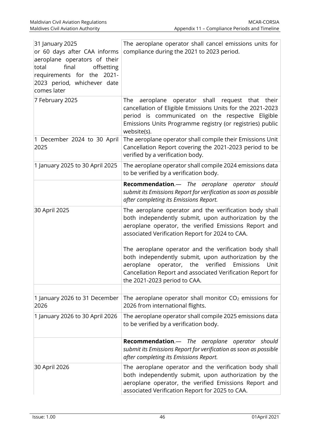| 31 January 2025<br>or 60 days after CAA informs<br>aeroplane operators of their<br>final<br>total<br>offsetting<br>requirements for the 2021-<br>2023 period, whichever date<br>comes later | The aeroplane operator shall cancel emissions units for<br>compliance during the 2021 to 2023 period.                                                                                                                                                                       |
|---------------------------------------------------------------------------------------------------------------------------------------------------------------------------------------------|-----------------------------------------------------------------------------------------------------------------------------------------------------------------------------------------------------------------------------------------------------------------------------|
| 7 February 2025                                                                                                                                                                             | aeroplane<br>operator shall request that their<br>The<br>cancellation of Eligible Emissions Units for the 2021-2023<br>period is communicated on the respective Eligible<br>Emissions Units Programme registry (or registries) public<br>website(s).                        |
| 1 December 2024 to 30 April<br>2025                                                                                                                                                         | The aeroplane operator shall compile their Emissions Unit<br>Cancellation Report covering the 2021-2023 period to be<br>verified by a verification body.                                                                                                                    |
| 1 January 2025 to 30 April 2025                                                                                                                                                             | The aeroplane operator shall compile 2024 emissions data<br>to be verified by a verification body.                                                                                                                                                                          |
|                                                                                                                                                                                             | <b>Recommendation.</b> — The aeroplane operator should<br>submit its Emissions Report for verification as soon as possible<br>after completing its Emissions Report.                                                                                                        |
| 30 April 2025                                                                                                                                                                               | The aeroplane operator and the verification body shall<br>both independently submit, upon authorization by the<br>aeroplane operator, the verified Emissions Report and<br>associated Verification Report for 2024 to CAA.                                                  |
|                                                                                                                                                                                             | The aeroplane operator and the verification body shall<br>both independently submit, upon authorization by the<br>verified<br>aeroplane<br>Emissions<br>operator, the<br>Unit<br>Cancellation Report and associated Verification Report for<br>the 2021-2023 period to CAA. |
| 1 January 2026 to 31 December<br>2026                                                                                                                                                       | The aeroplane operator shall monitor $CO2$ emissions for<br>2026 from international flights.                                                                                                                                                                                |
| 1 January 2026 to 30 April 2026                                                                                                                                                             | The aeroplane operator shall compile 2025 emissions data<br>to be verified by a verification body.                                                                                                                                                                          |
|                                                                                                                                                                                             | Recommendation.- The aeroplane<br>operator should<br>submit its Emissions Report for verification as soon as possible<br>after completing its Emissions Report.                                                                                                             |
| 30 April 2026                                                                                                                                                                               | The aeroplane operator and the verification body shall<br>both independently submit, upon authorization by the<br>aeroplane operator, the verified Emissions Report and<br>associated Verification Report for 2025 to CAA.                                                  |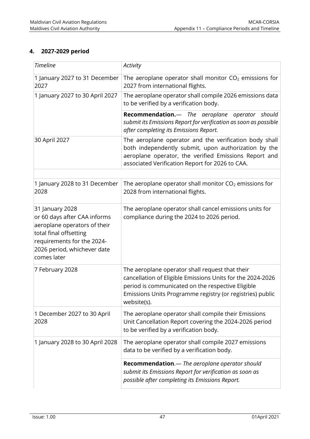# **4. 2027-2029 period**

| <b>Timeline</b>                                                                                                                                                                       | Activity                                                                                                                                                                                                                                       |
|---------------------------------------------------------------------------------------------------------------------------------------------------------------------------------------|------------------------------------------------------------------------------------------------------------------------------------------------------------------------------------------------------------------------------------------------|
| 1 January 2027 to 31 December<br>2027                                                                                                                                                 | The aeroplane operator shall monitor $CO2$ emissions for<br>2027 from international flights.                                                                                                                                                   |
| 1 January 2027 to 30 April 2027                                                                                                                                                       | The aeroplane operator shall compile 2026 emissions data<br>to be verified by a verification body.                                                                                                                                             |
|                                                                                                                                                                                       | <b>Recommendation.</b> — The aeroplane operator should<br>submit its Emissions Report for verification as soon as possible<br>after completing its Emissions Report.                                                                           |
| 30 April 2027                                                                                                                                                                         | The aeroplane operator and the verification body shall<br>both independently submit, upon authorization by the<br>aeroplane operator, the verified Emissions Report and<br>associated Verification Report for 2026 to CAA.                     |
|                                                                                                                                                                                       |                                                                                                                                                                                                                                                |
| 1 January 2028 to 31 December<br>2028                                                                                                                                                 | The aeroplane operator shall monitor $CO2$ emissions for<br>2028 from international flights.                                                                                                                                                   |
| 31 January 2028<br>or 60 days after CAA informs<br>aeroplane operators of their<br>total final offsetting<br>requirements for the 2024-<br>2026 period, whichever date<br>comes later | The aeroplane operator shall cancel emissions units for<br>compliance during the 2024 to 2026 period.                                                                                                                                          |
| 7 February 2028                                                                                                                                                                       | The aeroplane operator shall request that their<br>cancellation of Eligible Emissions Units for the 2024-2026<br>period is communicated on the respective Eligible<br>Emissions Units Programme registry (or registries) public<br>website(s). |
| 1 December 2027 to 30 April<br>2028                                                                                                                                                   | The aeroplane operator shall compile their Emissions<br>Unit Cancellation Report covering the 2024-2026 period<br>to be verified by a verification body.                                                                                       |
| 1 January 2028 to 30 April 2028                                                                                                                                                       | The aeroplane operator shall compile 2027 emissions<br>data to be verified by a verification body.                                                                                                                                             |
|                                                                                                                                                                                       | Recommendation. - The aeroplane operator should<br>submit its Emissions Report for verification as soon as<br>possible after completing its Emissions Report.                                                                                  |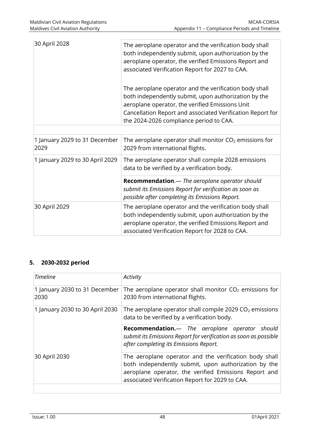| 30 April 2028                         | The aeroplane operator and the verification body shall<br>both independently submit, upon authorization by the<br>aeroplane operator, the verified Emissions Report and<br>associated Verification Report for 2027 to CAA.                                                 |
|---------------------------------------|----------------------------------------------------------------------------------------------------------------------------------------------------------------------------------------------------------------------------------------------------------------------------|
|                                       | The aeroplane operator and the verification body shall<br>both independently submit, upon authorization by the<br>aeroplane operator, the verified Emissions Unit<br>Cancellation Report and associated Verification Report for<br>the 2024-2026 compliance period to CAA. |
|                                       |                                                                                                                                                                                                                                                                            |
| 1 January 2029 to 31 December<br>2029 | The aeroplane operator shall monitor $CO2$ emissions for<br>2029 from international flights.                                                                                                                                                                               |
| 1 January 2029 to 30 April 2029       | The aeroplane operator shall compile 2028 emissions<br>data to be verified by a verification body.                                                                                                                                                                         |
|                                       | Recommendation.- The aeroplane operator should<br>submit its Emissions Report for verification as soon as<br>possible after completing its Emissions Report.                                                                                                               |
| 30 April 2029                         | The aeroplane operator and the verification body shall<br>both independently submit, upon authorization by the<br>aeroplane operator, the verified Emissions Report and<br>associated Verification Report for 2028 to CAA.                                                 |

#### **5. 2030-2032 period**

| <b>Timeline</b>                       | Activity                                                                                                                                                                                                                   |
|---------------------------------------|----------------------------------------------------------------------------------------------------------------------------------------------------------------------------------------------------------------------------|
| 1 January 2030 to 31 December<br>2030 | The aeroplane operator shall monitor $CO2$ emissions for<br>2030 from international flights.                                                                                                                               |
| 1 January 2030 to 30 April 2030       | The aeroplane operator shall compile 2029 $CO2$ emissions<br>data to be verified by a verification body.                                                                                                                   |
|                                       | <b>Recommendation.</b> — The aeroplane operator should<br>submit its Emissions Report for verification as soon as possible<br>after completing its Emissions Report.                                                       |
| 30 April 2030                         | The aeroplane operator and the verification body shall<br>both independently submit, upon authorization by the<br>aeroplane operator, the verified Emissions Report and<br>associated Verification Report for 2029 to CAA. |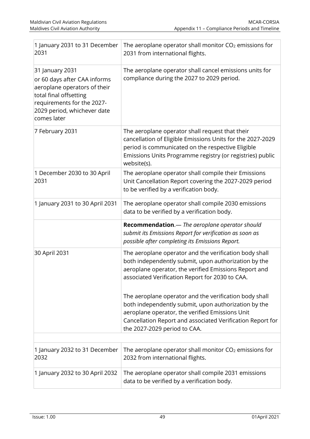| 1 January 2031 to 31 December<br>2031                                                                                                                                                 | The aeroplane operator shall monitor $CO2$ emissions for<br>2031 from international flights.                                                                                                                                                                    |
|---------------------------------------------------------------------------------------------------------------------------------------------------------------------------------------|-----------------------------------------------------------------------------------------------------------------------------------------------------------------------------------------------------------------------------------------------------------------|
| 31 January 2031<br>or 60 days after CAA informs<br>aeroplane operators of their<br>total final offsetting<br>requirements for the 2027-<br>2029 period, whichever date<br>comes later | The aeroplane operator shall cancel emissions units for<br>compliance during the 2027 to 2029 period.                                                                                                                                                           |
| 7 February 2031                                                                                                                                                                       | The aeroplane operator shall request that their<br>cancellation of Eligible Emissions Units for the 2027-2029<br>period is communicated on the respective Eligible<br>Emissions Units Programme registry (or registries) public<br>website(s).                  |
| 1 December 2030 to 30 April<br>2031                                                                                                                                                   | The aeroplane operator shall compile their Emissions<br>Unit Cancellation Report covering the 2027-2029 period<br>to be verified by a verification body.                                                                                                        |
| 1 January 2031 to 30 April 2031                                                                                                                                                       | The aeroplane operator shall compile 2030 emissions<br>data to be verified by a verification body.                                                                                                                                                              |
|                                                                                                                                                                                       | Recommendation.- The aeroplane operator should<br>submit its Emissions Report for verification as soon as<br>possible after completing its Emissions Report.                                                                                                    |
| 30 April 2031                                                                                                                                                                         | The aeroplane operator and the verification body shall<br>both independently submit, upon authorization by the<br>aeroplane operator, the verified Emissions Report and<br>associated Verification Report for 2030 to CAA.                                      |
|                                                                                                                                                                                       | The aeroplane operator and the verification body shall<br>both independently submit, upon authorization by the<br>aeroplane operator, the verified Emissions Unit<br>Cancellation Report and associated Verification Report for<br>the 2027-2029 period to CAA. |
| 1 January 2032 to 31 December<br>2032                                                                                                                                                 | The aeroplane operator shall monitor $CO2$ emissions for<br>2032 from international flights.                                                                                                                                                                    |
| 1 January 2032 to 30 April 2032                                                                                                                                                       | The aeroplane operator shall compile 2031 emissions<br>data to be verified by a verification body.                                                                                                                                                              |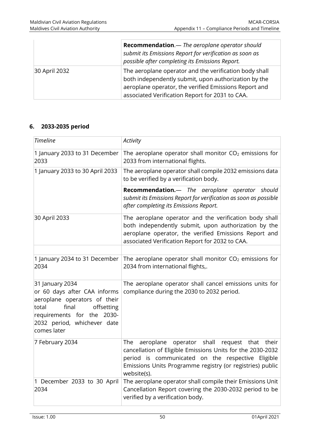|               | Recommendation.- The aeroplane operator should<br>submit its Emissions Report for verification as soon as<br>possible after completing its Emissions Report.                                                               |
|---------------|----------------------------------------------------------------------------------------------------------------------------------------------------------------------------------------------------------------------------|
| 30 April 2032 | The aeroplane operator and the verification body shall<br>both independently submit, upon authorization by the<br>aeroplane operator, the verified Emissions Report and<br>associated Verification Report for 2031 to CAA. |

# **6. 2033-2035 period**

| <b>Timeline</b>                                                                                                                                                                             | Activity                                                                                                                                                                                                                                                   |
|---------------------------------------------------------------------------------------------------------------------------------------------------------------------------------------------|------------------------------------------------------------------------------------------------------------------------------------------------------------------------------------------------------------------------------------------------------------|
| 1 January 2033 to 31 December<br>2033                                                                                                                                                       | The aeroplane operator shall monitor $CO2$ emissions for<br>2033 from international flights.                                                                                                                                                               |
| 1 January 2033 to 30 April 2033                                                                                                                                                             | The aeroplane operator shall compile 2032 emissions data<br>to be verified by a verification body.                                                                                                                                                         |
|                                                                                                                                                                                             | Recommendation.- The aeroplane operator should<br>submit its Emissions Report for verification as soon as possible<br>after completing its Emissions Report.                                                                                               |
| 30 April 2033                                                                                                                                                                               | The aeroplane operator and the verification body shall<br>both independently submit, upon authorization by the<br>aeroplane operator, the verified Emissions Report and<br>associated Verification Report for 2032 to CAA.                                 |
| 1 January 2034 to 31 December                                                                                                                                                               | The aeroplane operator shall monitor $CO2$ emissions for                                                                                                                                                                                                   |
| 2034                                                                                                                                                                                        | 2034 from international flights,.                                                                                                                                                                                                                          |
| 31 January 2034<br>or 60 days after CAA informs<br>aeroplane operators of their<br>final<br>total<br>offsetting<br>requirements for the 2030-<br>2032 period, whichever date<br>comes later | The aeroplane operator shall cancel emissions units for<br>compliance during the 2030 to 2032 period.                                                                                                                                                      |
| 7 February 2034                                                                                                                                                                             | operator shall<br>aeroplane<br>The<br>request that<br>their<br>cancellation of Eligible Emissions Units for the 2030-2032<br>period is communicated on the respective Eligible<br>Emissions Units Programme registry (or registries) public<br>website(s). |
| 1 December 2033 to 30 April<br>2034                                                                                                                                                         | The aeroplane operator shall compile their Emissions Unit<br>Cancellation Report covering the 2030-2032 period to be<br>verified by a verification body.                                                                                                   |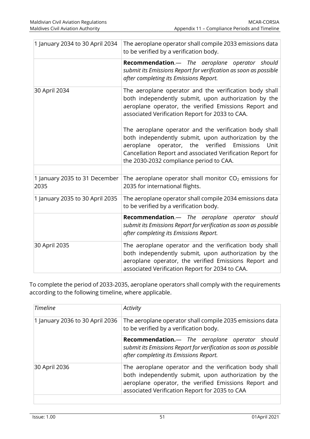| 1 January 2034 to 30 April 2034       | The aeroplane operator shall compile 2033 emissions data<br>to be verified by a verification body.                                                                                                                                                                                     |
|---------------------------------------|----------------------------------------------------------------------------------------------------------------------------------------------------------------------------------------------------------------------------------------------------------------------------------------|
|                                       | Recommendation.- The aeroplane operator should<br>submit its Emissions Report for verification as soon as possible<br>after completing its Emissions Report.                                                                                                                           |
| 30 April 2034                         | The aeroplane operator and the verification body shall<br>both independently submit, upon authorization by the<br>aeroplane operator, the verified Emissions Report and<br>associated Verification Report for 2033 to CAA.                                                             |
|                                       | The aeroplane operator and the verification body shall<br>both independently submit, upon authorization by the<br>operator, the<br>verified<br>Emissions<br>aeroplane<br>Unit<br>Cancellation Report and associated Verification Report for<br>the 2030-2032 compliance period to CAA. |
|                                       |                                                                                                                                                                                                                                                                                        |
| 1 January 2035 to 31 December<br>2035 | The aeroplane operator shall monitor $CO2$ emissions for<br>2035 for international flights.                                                                                                                                                                                            |
| 1 January 2035 to 30 April 2035       | The aeroplane operator shall compile 2034 emissions data<br>to be verified by a verification body.                                                                                                                                                                                     |
|                                       | Recommendation.- The aeroplane operator should<br>submit its Emissions Report for verification as soon as possible<br>after completing its Emissions Report.                                                                                                                           |
| 30 April 2035                         | The aeroplane operator and the verification body shall<br>both independently submit, upon authorization by the<br>aeroplane operator, the verified Emissions Report and<br>associated Verification Report for 2034 to CAA.                                                             |

To complete the period of 2033-2035, aeroplane operators shall comply with the requirements according to the following timeline, where applicable.

| <b>Timeline</b>                 | Activity                                                                                                                                                                                                                  |
|---------------------------------|---------------------------------------------------------------------------------------------------------------------------------------------------------------------------------------------------------------------------|
| 1 January 2036 to 30 April 2036 | The aeroplane operator shall compile 2035 emissions data<br>to be verified by a verification body.                                                                                                                        |
|                                 | Recommendation.- The aeroplane operator should<br>submit its Emissions Report for verification as soon as possible<br>after completing its Emissions Report.                                                              |
| 30 April 2036                   | The aeroplane operator and the verification body shall<br>both independently submit, upon authorization by the<br>aeroplane operator, the verified Emissions Report and<br>associated Verification Report for 2035 to CAA |